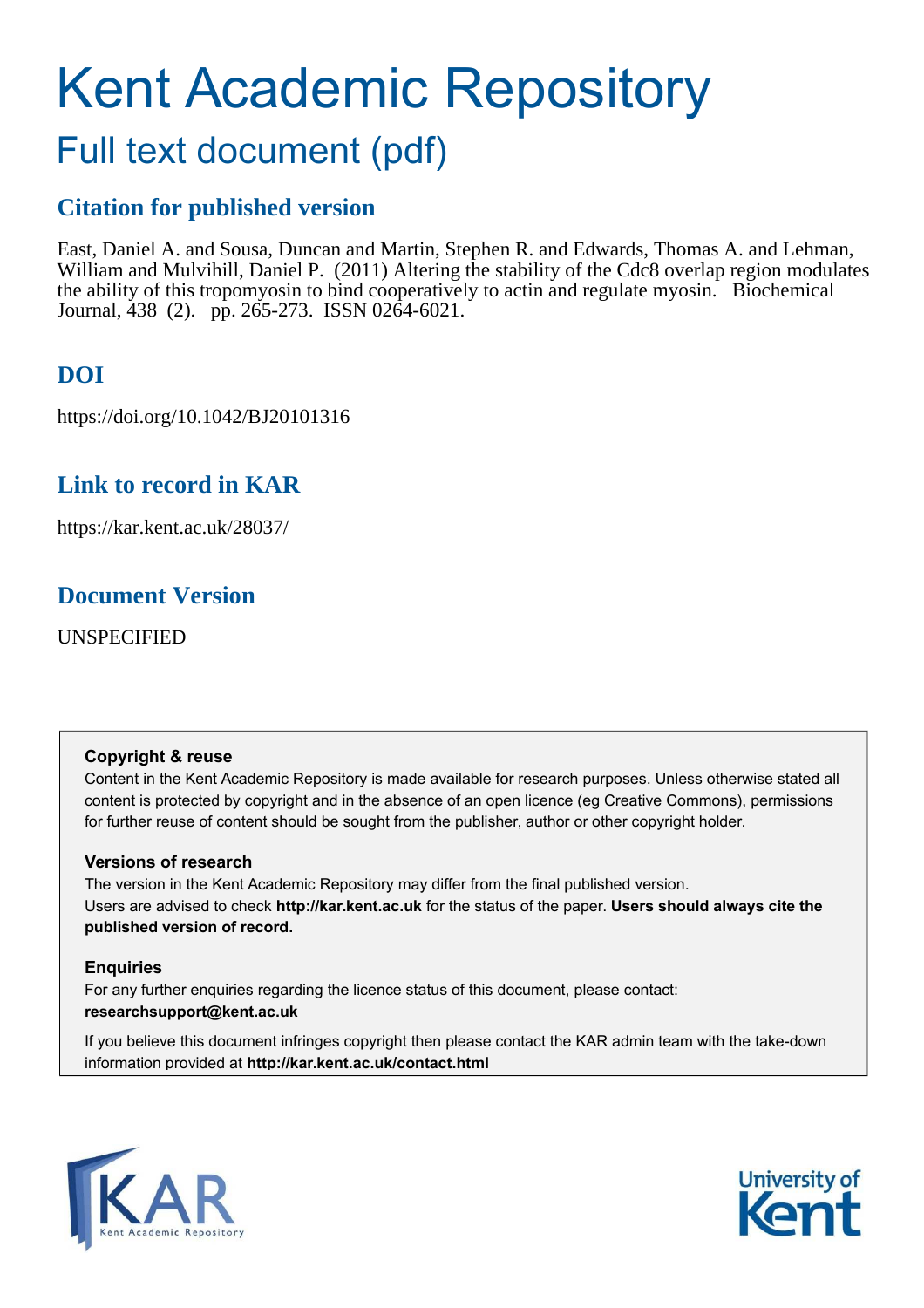# Kent Academic Repository

# Full text document (pdf)

## **Citation for published version**

East, Daniel A. and Sousa, Duncan and Martin, Stephen R. and Edwards, Thomas A. and Lehman, William and Mulvihill, Daniel P. (2011) Altering the stability of the Cdc8 overlap region modulates the ability of this tropomyosin to bind cooperatively to actin and regulate myosin. Biochemical Journal, 438 (2). pp. 265-273. ISSN 0264-6021.

# **DOI**

https://doi.org/10.1042/BJ20101316

# **Link to record in KAR**

https://kar.kent.ac.uk/28037/

## **Document Version**

UNSPECIFIED

#### **Copyright & reuse**

Content in the Kent Academic Repository is made available for research purposes. Unless otherwise stated all content is protected by copyright and in the absence of an open licence (eg Creative Commons), permissions for further reuse of content should be sought from the publisher, author or other copyright holder.

#### **Versions of research**

The version in the Kent Academic Repository may differ from the final published version. Users are advised to check **http://kar.kent.ac.uk** for the status of the paper. **Users should always cite the published version of record.**

#### **Enquiries**

For any further enquiries regarding the licence status of this document, please contact: **researchsupport@kent.ac.uk**

If you believe this document infringes copyright then please contact the KAR admin team with the take-down information provided at **http://kar.kent.ac.uk/contact.html**



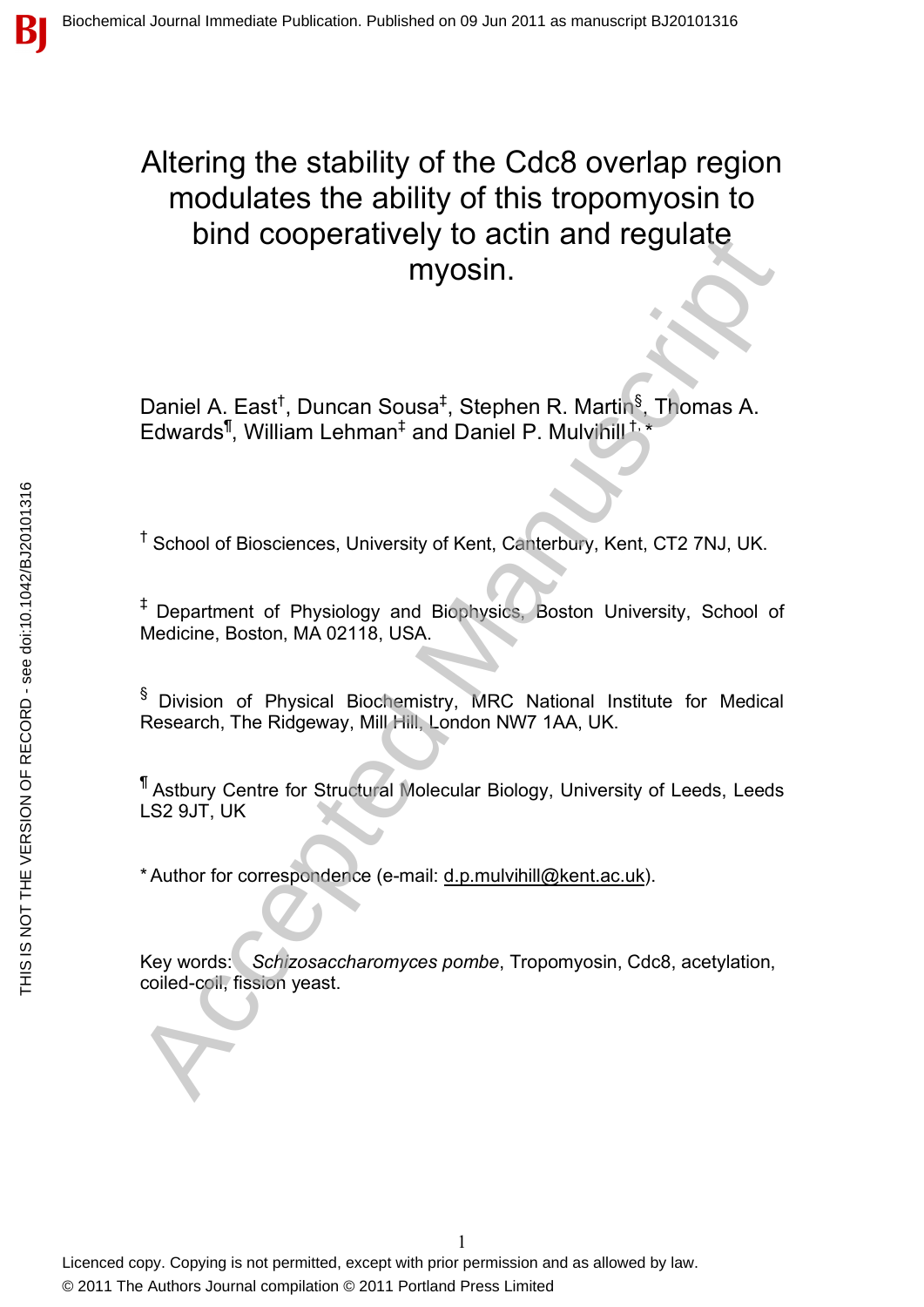# Altering the stability of the Cdc8 overlap region modulates the ability of this tropomyosin to bind cooperatively to actin and regulate myosin. Daniel A. East<sup>†</sup>, Duncan Sousa<sup>‡</sup>, Stephen R. Martin<sup>§</sup>. Thomas A.<br>Edwards<sup>1</sup>, William Lehman<sup>±</sup> and Daniel P. Multivinil<sup>15</sup>.<br><sup>4</sup> School of Biosciences, University of Kent, Canterbury, Kent, CT2 7NJ, UK.<br><sup>4</sup> Department o

Daniel A. East<sup>†</sup>, Duncan Sousa<sup>‡</sup>, Stephen R. Martin<sup>§</sup>, Thomas A. Edwards<sup>¶</sup>, William Lehman<sup>‡</sup> and Daniel P. Mulvihill<sup>†,\*</sup>

<sup>†</sup> School of Biosciences, University of Kent, Canterbury, Kent, CT2 7NJ, UK.

‡ Department of Physiology and Biophysics, Boston University, School of Medicine, Boston, MA 02118, USA.

§ Division of Physical Biochemistry, MRC National Institute for Medical Research, The Ridgeway, Mill Hill, London NW7 1AA, UK.

¶ Astbury Centre for Structural Molecular Biology, University of Leeds, Leeds LS2 9JT, UK

\* Author for correspondence (e-mail: d.p.mulvihill@kent.ac.uk).

Key words: *Schizosaccharomyces pombe*, Tropomyosin, Cdc8, acetylation, coiled-coil, fission yeast.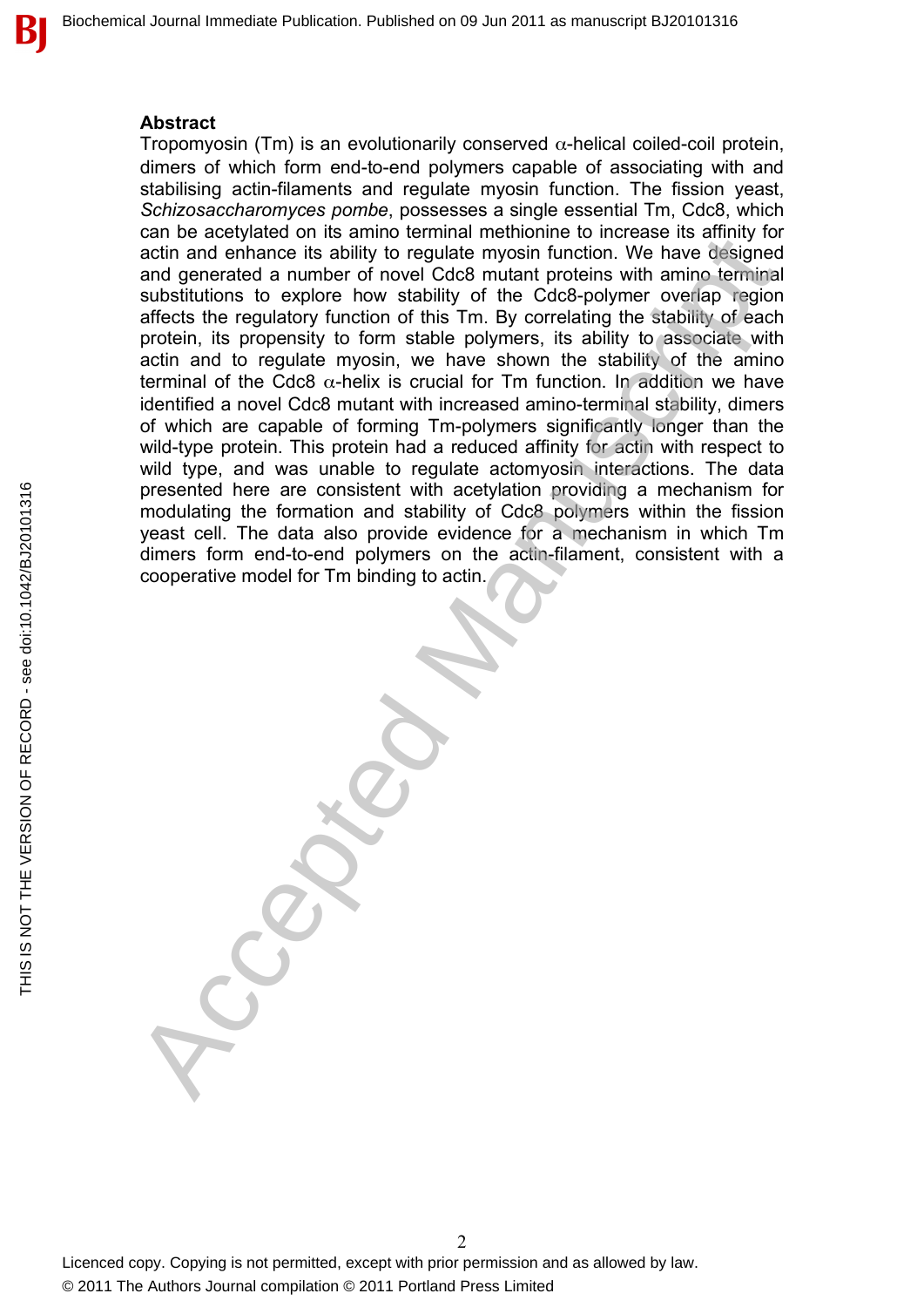#### **Abstract**

Tropomyosin (Tm) is an evolutionarily conserved  $\alpha$ -helical coiled-coil protein, dimers of which form end-to-end polymers capable of associating with and stabilising actin-filaments and regulate myosin function. The fission yeast, *Schizosaccharomyces pombe*, possesses a single essential Tm, Cdc8, which can be acetylated on its amino terminal methionine to increase its affinity for actin and enhance its ability to regulate myosin function. We have designed and generated a number of novel Cdc8 mutant proteins with amino terminal substitutions to explore how stability of the Cdc8-polymer overlap region affects the regulatory function of this Tm. By correlating the stability of each protein, its propensity to form stable polymers, its ability to associate with actin and to regulate myosin, we have shown the stability of the amino terminal of the Cdc8  $\alpha$ -helix is crucial for Tm function. In addition we have identified a novel Cdc8 mutant with increased amino-terminal stability, dimers of which are capable of forming Tm-polymers significantly longer than the wild-type protein. This protein had a reduced affinity for actin with respect to wild type, and was unable to regulate actomyosin interactions. The data presented here are consistent with acetylation providing a mechanism for modulating the formation and stability of Cdc8 polymers within the fission yeast cell. The data also provide evidence for a mechanism in which Tm dimers form end-to-end polymers on the actin-filament, consistent with a cooperative model for Tm binding to actin. Let the deviation of the same we find the method of the same of the same of the deviation and enhance its ability to regulate myosin function. We have disjoined and generated a number of novel Cdc8 multan proteins with ami

В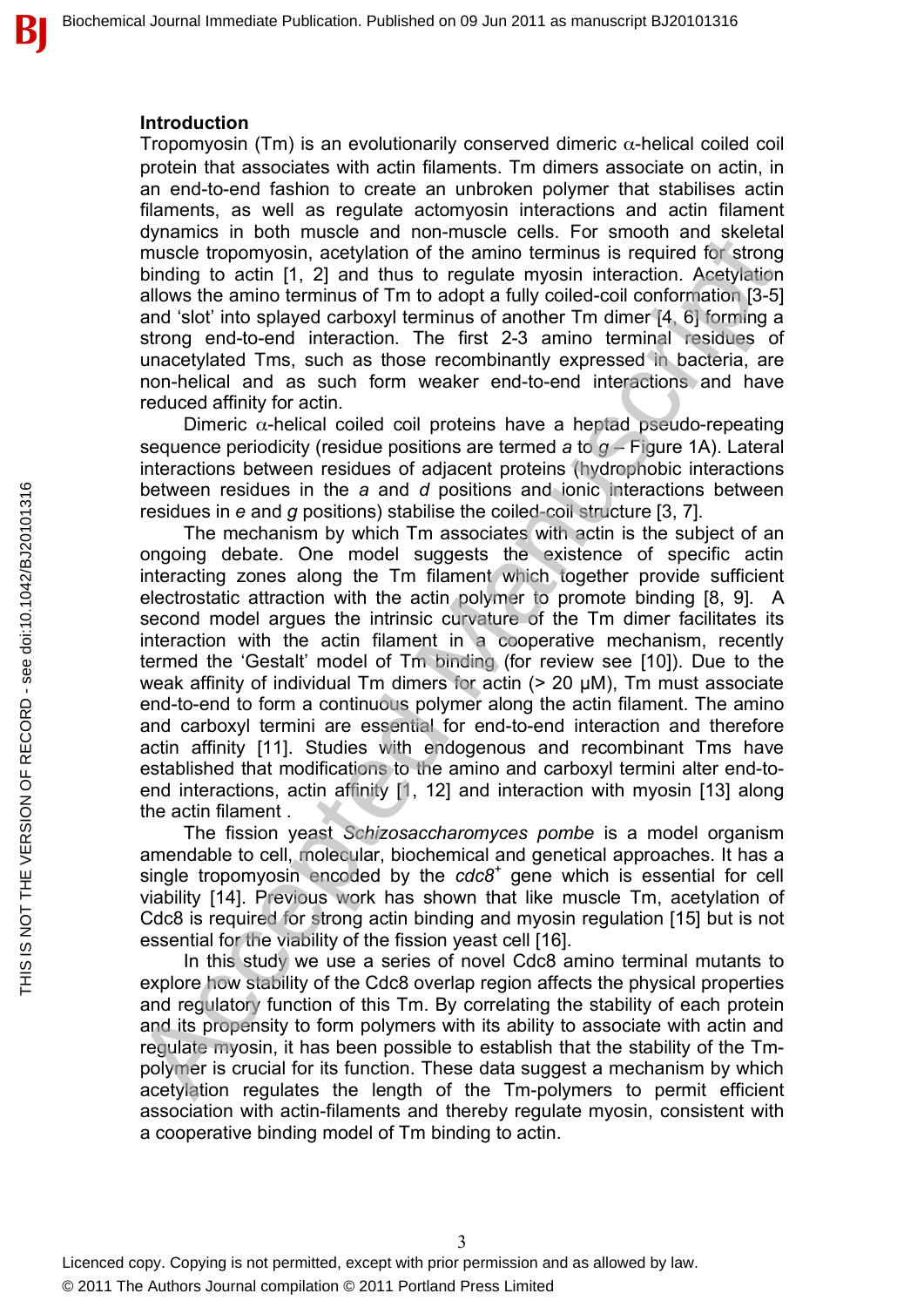#### **Introduction**

Tropomyosin (Tm) is an evolutionarily conserved dimeric  $\alpha$ -helical coiled coil protein that associates with actin filaments. Tm dimers associate on actin, in an end-to-end fashion to create an unbroken polymer that stabilises actin filaments, as well as regulate actomyosin interactions and actin filament dynamics in both muscle and non-muscle cells. For smooth and skeletal muscle tropomyosin, acetylation of the amino terminus is required for strong binding to actin [1, 2] and thus to regulate myosin interaction. Acetylation allows the amino terminus of Tm to adopt a fully coiled-coil conformation [3-5] and 'slot' into splayed carboxyl terminus of another Tm dimer [4, 6] forming a strong end-to-end interaction. The first 2-3 amino terminal residues of unacetylated Tms, such as those recombinantly expressed in bacteria, are non-helical and as such form weaker end-to-end interactions and have reduced affinity for actin.

Dimeric  $\alpha$ -helical coiled coil proteins have a heptad pseudo-repeating sequence periodicity (residue positions are termed *a* to *g* – Figure 1A). Lateral interactions between residues of adjacent proteins (hydrophobic interactions between residues in the *a* and *d* positions and ionic interactions between residues in *e* and *g* positions) stabilise the coiled-coil structure [3, 7].

The mechanism by which Tm associates with actin is the subject of an ongoing debate. One model suggests the existence of specific actin interacting zones along the Tm filament which together provide sufficient electrostatic attraction with the actin polymer to promote binding [8, 9]. A second model argues the intrinsic curvature of the Tm dimer facilitates its interaction with the actin filament in a cooperative mechanism, recently termed the 'Gestalt' model of Tm binding (for review see [10]). Due to the weak affinity of individual Tm dimers for actin (> 20 µM), Tm must associate end-to-end to form a continuous polymer along the actin filament. The amino and carboxyl termini are essential for end-to-end interaction and therefore actin affinity [11]. Studies with endogenous and recombinant Tms have established that modifications to the amino and carboxyl termini alter end-toend interactions, actin affinity [1, 12] and interaction with myosin [13] along the actin filament . bytimines and Storting and the same infriend with the smaller through earlier of the minor state and the minor state and short and short and short and short in (1, 2) and thus to regulate myosin interaction. Acceptible and

The fission yeast *Schizosaccharomyces pombe* is a model organism amendable to cell, molecular, biochemical and genetical approaches. It has a single tropomyosin encoded by the *cdc8<sup>+</sup>* gene which is essential for cell viability [14]. Previous work has shown that like muscle Tm, acetylation of Cdc8 is required for strong actin binding and myosin regulation [15] but is not essential for the viability of the fission yeast cell [16].

In this study we use a series of novel Cdc8 amino terminal mutants to explore how stability of the Cdc8 overlap region affects the physical properties and regulatory function of this Tm. By correlating the stability of each protein and its propensity to form polymers with its ability to associate with actin and regulate myosin, it has been possible to establish that the stability of the Tmpolymer is crucial for its function. These data suggest a mechanism by which acetylation regulates the length of the Tm-polymers to permit efficient association with actin-filaments and thereby regulate myosin, consistent with a cooperative binding model of Tm binding to actin.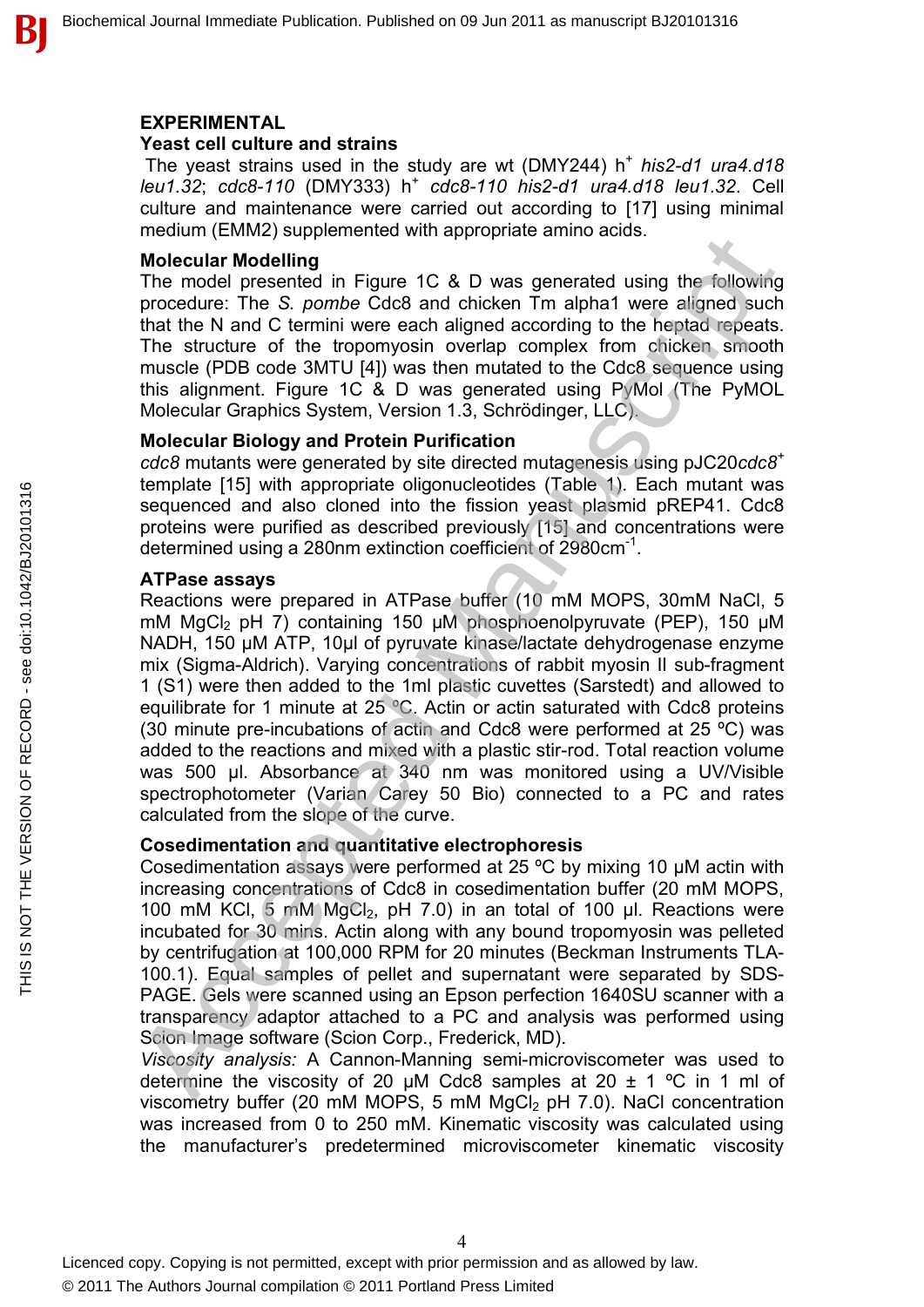#### **EXPERIMENTAL**

#### **Yeast cell culture and strains**

The yeast strains used in the study are wt (DMY244) h<sup>+</sup> his2-d1 ura4.d18 *leu1.32*; *cdc8-110* (DMY333) h<sup>+</sup> *cdc8-110 his2-d1 ura4.d18 leu1.32*. Cell culture and maintenance were carried out according to [17] using minimal medium (EMM2) supplemented with appropriate amino acids.

#### **Molecular Modelling**

The model presented in Figure 1C & D was generated using the following procedure: The *S. pombe* Cdc8 and chicken Tm alpha1 were aligned such that the N and C termini were each aligned according to the heptad repeats. The structure of the tropomyosin overlap complex from chicken smooth muscle (PDB code 3MTU [4]) was then mutated to the Cdc8 sequence using this alignment. Figure 1C & D was generated using PyMol (The PyMOL Molecular Graphics System, Version 1.3, Schrödinger, LLC).

#### **Molecular Biology and Protein Purification**

*cdc8* mutants were generated by site directed mutagenesis using pJC20*cdc8<sup>+</sup>* template [15] with appropriate oligonucleotides (Table 1). Each mutant was sequenced and also cloned into the fission yeast plasmid pREP41. Cdc8 proteins were purified as described previously [15] and concentrations were determined using a 280nm extinction coefficient of 2980cm<sup>-1</sup>.

#### **ATPase assays**

Reactions were prepared in ATPase buffer (10 mM MOPS, 30mM NaCl, 5 mM MgCl<sub>2</sub> pH 7) containing 150 µM phosphoenolpyruvate (PEP), 150 µM NADH, 150 µM ATP, 10µl of pyruvate kinase/lactate dehydrogenase enzyme mix (Sigma-Aldrich). Varying concentrations of rabbit myosin II sub-fragment 1 (S1) were then added to the 1ml plastic cuvettes (Sarstedt) and allowed to equilibrate for 1 minute at 25 ºC. Actin or actin saturated with Cdc8 proteins (30 minute pre-incubations of actin and Cdc8 were performed at 25 ºC) was added to the reactions and mixed with a plastic stir-rod. Total reaction volume was 500 µl. Absorbance at 340 nm was monitored using a UV/Visible spectrophotometer (Varian Carey 50 Bio) connected to a PC and rates calculated from the slope of the curve. Modecular Modelling<br>
metric and energy approached minimized aning the following<br>
The model presented in Figure 1C & D was generated using the following<br>
procedure: The S. pombe Cdc8 and chicken Tm alpha1 were aligned such

#### **Cosedimentation and quantitative electrophoresis**

Cosedimentation assays were performed at 25 ºC by mixing 10 µM actin with increasing concentrations of Cdc8 in cosedimentation buffer (20 mM MOPS, 100 mM KCl,  $5 \text{ mM } MgCl_2$ , pH 7.0) in an total of 100 µl. Reactions were incubated for 30 mins. Actin along with any bound tropomyosin was pelleted by centrifugation at 100,000 RPM for 20 minutes (Beckman Instruments TLA-100.1). Equal samples of pellet and supernatant were separated by SDS-PAGE. Gels were scanned using an Epson perfection 1640SU scanner with a transparency adaptor attached to a PC and analysis was performed using Scion Image software (Scion Corp., Frederick, MD).

*Viscosity analysis:* A Cannon-Manning semi-microviscometer was used to determine the viscosity of 20  $\mu$ M Cdc8 samples at 20  $\pm$  1 °C in 1 ml of viscometry buffer (20 mM MOPS, 5 mM MgCl<sub>2</sub> pH 7.0). NaCl concentration was increased from 0 to 250 mM. Kinematic viscosity was calculated using the manufacturer's predetermined microviscometer kinematic viscosity

В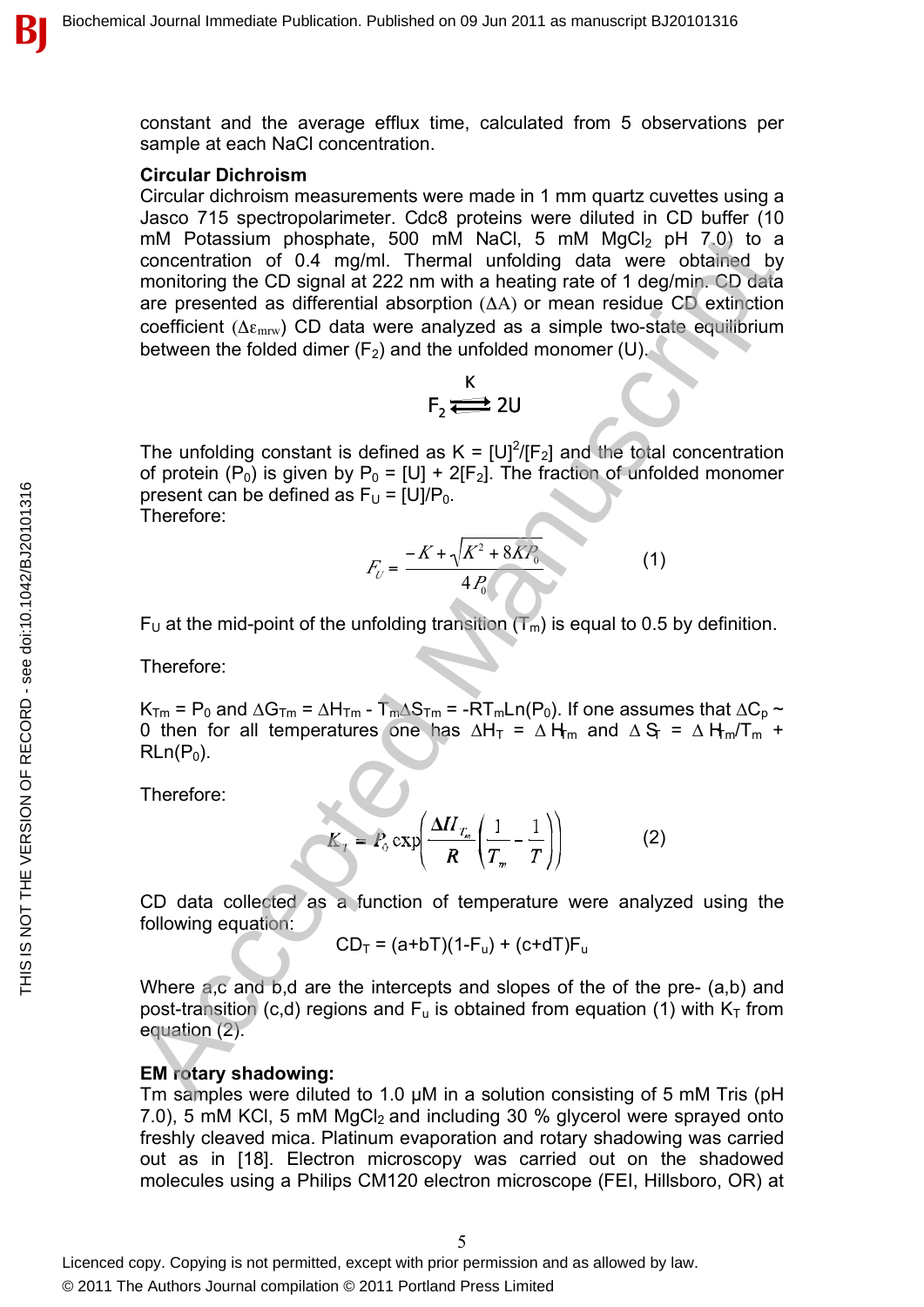constant and the average efflux time, calculated from 5 observations per sample at each NaCl concentration.

#### **Circular Dichroism**

Circular dichroism measurements were made in 1 mm quartz cuvettes using a Jasco 715 spectropolarimeter. Cdc8 proteins were diluted in CD buffer (10 mM Potassium phosphate, 500 mM NaCl, 5 mM  $MgCl<sub>2</sub>$  pH  $7.0$ ) to a concentration of 0.4 mg/ml. Thermal unfolding data were obtained by monitoring the CD signal at 222 nm with a heating rate of 1 deg/min. CD data are presented as differential absorption (ΔA) or mean residue CD extinction coefficient ( $\Delta \epsilon_{\text{mrv}}$ ) CD data were analyzed as a simple two-state equilibrium between the folded dimer  $(F_2)$  and the unfolded monomer (U). mM Potassim phosphate, 500 mM NaCl, 5 mM MagCl, pH 70) to a<br>concentration of 0.4 mg/ml. Themal unfolding data were obtained by<br>monitoring the CD signal at 222 mm with a healing rate of 1 degmin. CD data<br>are presented as d

$$
F_2 \stackrel{K}{\Longleftrightarrow} 2U
$$

The unfolding constant is defined as  $K = [U]^2 / [F_2]$  and the total concentration of protein  $(P_0)$  is given by  $P_0 = [U] + 2[F_2]$ . The fraction of unfolded monomer present can be defined as  $F_U = [U]/P_0$ . Therefore:

$$
F_U = \frac{-K + \sqrt{K^2 + 8KP_0}}{4P_0}
$$
 (1)

 $F_U$  at the mid-point of the unfolding transition  $(T_m)$  is equal to 0.5 by definition.

Therefore:

 $K_{Tm}$  = P<sub>0</sub> and  $\Delta G_{Tm}$  =  $\Delta H_{Tm}$  -  $T_m\Delta S_{Tm}$  = - $RT_mLn(P_0)$ . If one assumes that  $\Delta C_p \sim$ 0 then for all temperatures one has  $\Delta H_T = \Delta H_m$  and  $\Delta S_T = \Delta H_m/T_m$  +  $RLn(P<sub>0</sub>)$ .

Therefore:

$$
K_T = P_0 \exp\left(\frac{\Delta H_{T_m}}{R} \left(\frac{1}{T_m} - \frac{1}{T}\right)\right)
$$
 (2)

CD data collected as a function of temperature were analyzed using the following equation:

 $CD_T = (a+bT)(1-F_u) + (c+dT)F_u$ 

Where a,c and b,d are the intercepts and slopes of the of the pre- (a,b) and post-transition (c,d) regions and  $F_u$  is obtained from equation (1) with  $K_T$  from equation (2).

#### **EM rotary shadowing:**

Tm samples were diluted to 1.0 µM in a solution consisting of 5 mM Tris (pH 7.0), 5 mM KCl, 5 mM MgCl<sub>2</sub> and including 30 % glycerol were sprayed onto freshly cleaved mica. Platinum evaporation and rotary shadowing was carried out as in [18]. Electron microscopy was carried out on the shadowed molecules using a Philips CM120 electron microscope (FEI, Hillsboro, OR) at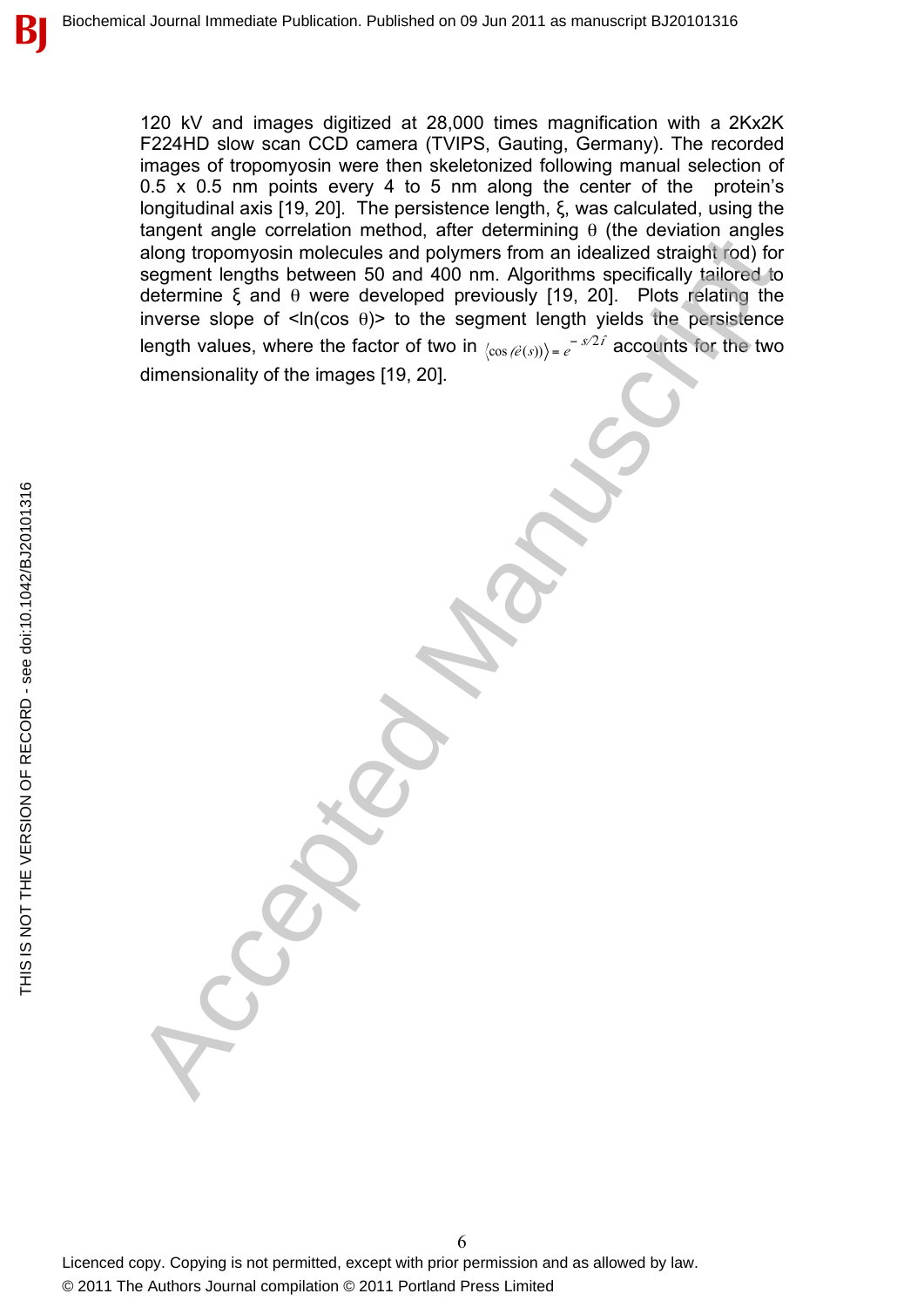120 kV and images digitized at 28,000 times magnification with a 2Kx2K F224HD slow scan CCD camera (TVIPS, Gauting, Germany). The recorded images of tropomyosin were then skeletonized following manual selection of 0.5 x 0.5 nm points every 4 to 5 nm along the center of the protein's longitudinal axis [19, 20]. The persistence length, ξ, was calculated, using the tangent angle correlation method, after determining  $θ$  (the deviation angles along tropomyosin molecules and polymers from an idealized straight rod) for segment lengths between 50 and 400 nm. Algorithms specifically tailored to determine ξ and θ were developed previously [19, 20]. Plots relating the inverse slope of  $\langle n| \cos \theta \rangle$  to the segment length yields the persistence length values, where the factor of two in  $\langle \cos(\hat{e}(s)) \rangle = e^{-s/2\hat{t}}$  accounts for the two dimensionality of the images [19, 20]. angem transported methods. The most controlled to the controlled straight hold for all payment lengths between 50 and 4000 nm. Algorithmic specifically talof of determine 5 and 4 over developed previously [19, 20]. Plots r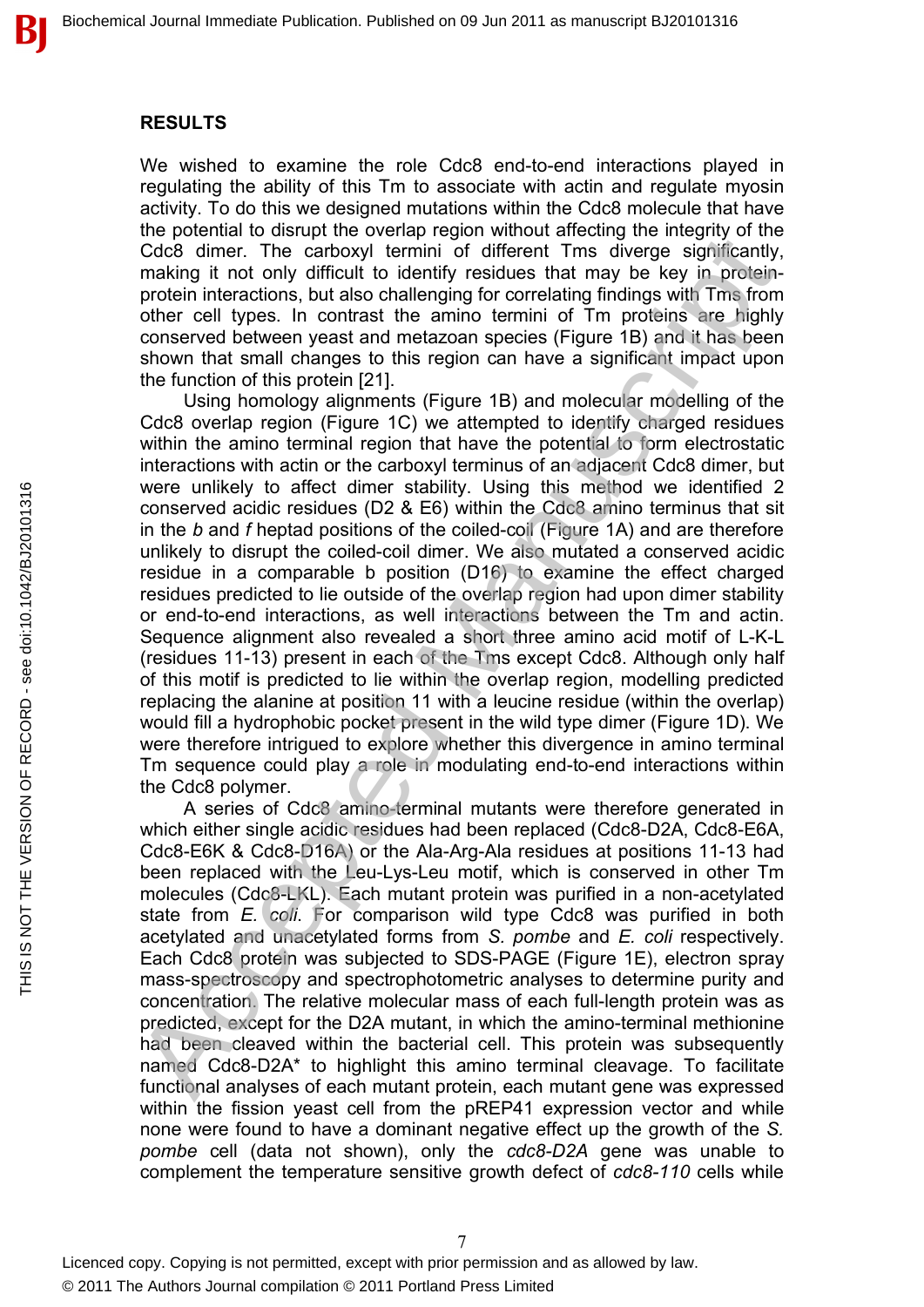#### **RESULTS**

We wished to examine the role Cdc8 end-to-end interactions played in regulating the ability of this Tm to associate with actin and regulate myosin activity. To do this we designed mutations within the Cdc8 molecule that have the potential to disrupt the overlap region without affecting the integrity of the Cdc8 dimer. The carboxyl termini of different Tms diverge significantly, making it not only difficult to identify residues that may be key in proteinprotein interactions, but also challenging for correlating findings with Tms from other cell types. In contrast the amino termini of Tm proteins are highly conserved between yeast and metazoan species (Figure 1B) and it has been shown that small changes to this region can have a significant impact upon the function of this protein [21].

Using homology alignments (Figure 1B) and molecular modelling of the Cdc8 overlap region (Figure 1C) we attempted to identify charged residues within the amino terminal region that have the potential to form electrostatic interactions with actin or the carboxyl terminus of an adjacent Cdc8 dimer, but were unlikely to affect dimer stability. Using this method we identified 2 conserved acidic residues (D2 & E6) within the Cdc8 amino terminus that sit in the *b* and *f* heptad positions of the coiled-coil (Figure 1A) and are therefore unlikely to disrupt the coiled-coil dimer. We also mutated a conserved acidic residue in a comparable b position (D16) to examine the effect charged residues predicted to lie outside of the overlap region had upon dimer stability or end-to-end interactions, as well interactions between the Tm and actin. Sequence alignment also revealed a short three amino acid motif of L-K-L (residues 11-13) present in each of the Tms except Cdc8. Although only half of this motif is predicted to lie within the overlap region, modelling predicted replacing the alanine at position 11 with a leucine residue (within the overlap) would fill a hydrophobic pocket present in the wild type dimer (Figure 1D). We were therefore intrigued to explore whether this divergence in amino terminal Tm sequence could play a role in modulating end-to-end interactions within the Cdc8 polymer. increaring in rot continuous and the extra or the cathody is terminode in the cathody is minicipal of the cathody is protein interactions, but also ochallenging for correlating findings with Tims from other cell types. In

A series of Cdc8 amino-terminal mutants were therefore generated in which either single acidic residues had been replaced (Cdc8-D2A, Cdc8-E6A, Cdc8-E6K & Cdc8-D16A) or the Ala-Arg-Ala residues at positions 11-13 had been replaced with the Leu-Lys-Leu motif, which is conserved in other Tm molecules (Cdc8-LKL). Each mutant protein was purified in a non-acetylated state from *E. coli*. For comparison wild type Cdc8 was purified in both acetylated and unacetylated forms from *S. pombe* and *E. coli* respectively. Each Cdc8 protein was subjected to SDS-PAGE (Figure 1E), electron spray mass-spectroscopy and spectrophotometric analyses to determine purity and concentration. The relative molecular mass of each full-length protein was as predicted, except for the D2A mutant, in which the amino-terminal methionine had been cleaved within the bacterial cell. This protein was subsequently named Cdc8-D2A\* to highlight this amino terminal cleavage. To facilitate functional analyses of each mutant protein, each mutant gene was expressed within the fission yeast cell from the pREP41 expression vector and while none were found to have a dominant negative effect up the growth of the *S. pombe* cell (data not shown), only the *cdc8-D2A* gene was unable to complement the temperature sensitive growth defect of *cdc8-110* cells while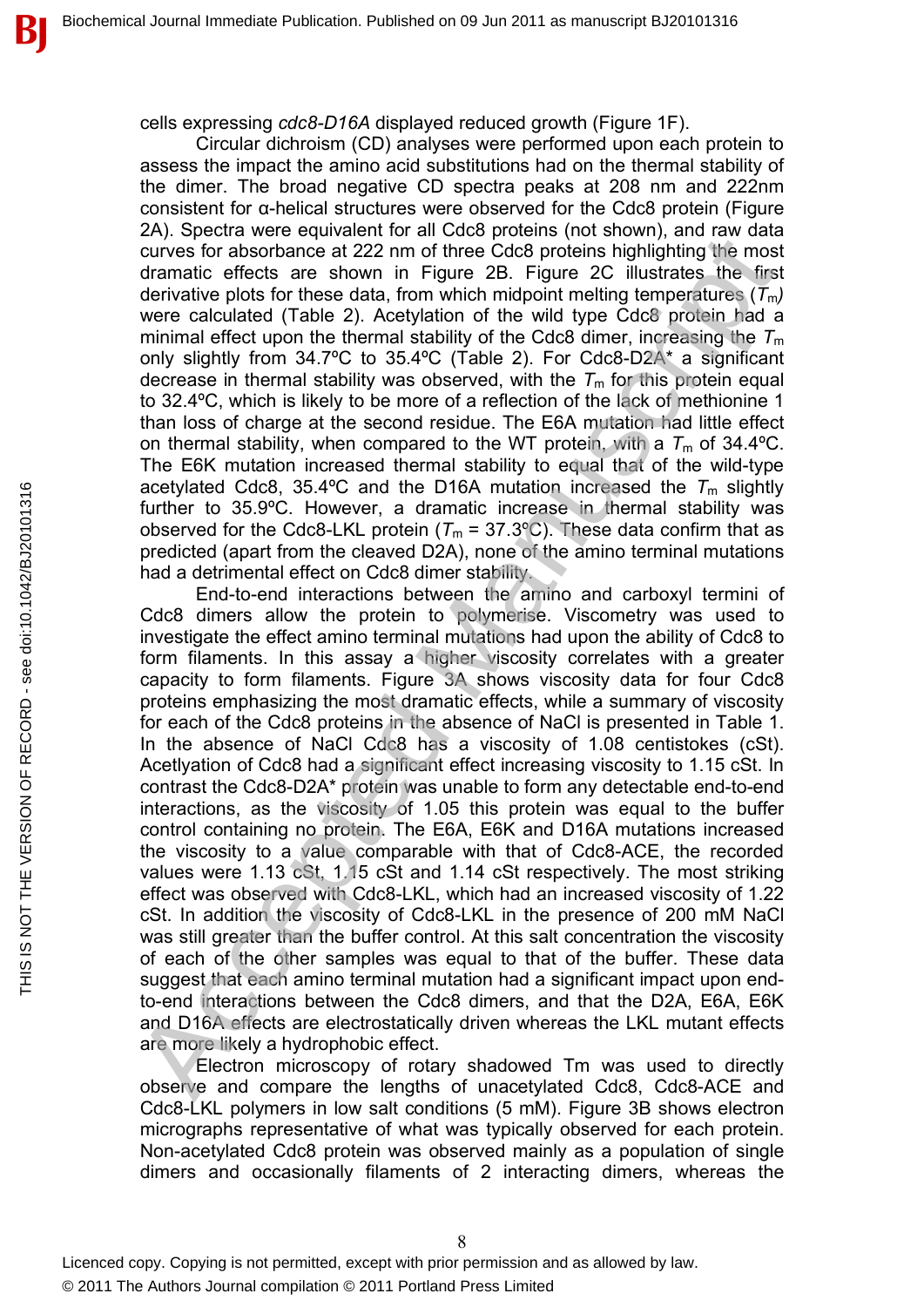cells expressing *cdc8-D16A* displayed reduced growth (Figure 1F).

Circular dichroism (CD) analyses were performed upon each protein to assess the impact the amino acid substitutions had on the thermal stability of the dimer. The broad negative CD spectra peaks at 208 nm and 222nm consistent for α-helical structures were observed for the Cdc8 protein (Figure 2A). Spectra were equivalent for all Cdc8 proteins (not shown), and raw data curves for absorbance at 222 nm of three Cdc8 proteins highlighting the most dramatic effects are shown in Figure 2B. Figure 2C illustrates the first derivative plots for these data, from which midpoint melting temperatures  $(T_m)$ were calculated (Table 2). Acetylation of the wild type Cdc8 protein had a minimal effect upon the thermal stability of the Cdc8 dimer, increasing the  $T<sub>m</sub>$ only slightly from 34.7ºC to 35.4ºC (Table 2). For Cdc8-D2A\* a significant decrease in thermal stability was observed, with the  $T_m$  for this protein equal to 32.4ºC, which is likely to be more of a reflection of the lack of methionine 1 than loss of charge at the second residue. The E6A mutation had little effect on thermal stability, when compared to the WT protein, with a  $T_m$  of 34.4°C. The E6K mutation increased thermal stability to equal that of the wild-type acetylated Cdc8, 35.4°C and the D16A mutation increased the  $T_m$  slightly further to 35.9ºC. However, a dramatic increase in thermal stability was observed for the Cdc8-LKL protein  $(T_m = 37.3^{\circ}\text{C})$ . These data confirm that as predicted (apart from the cleaved D2A), none of the amino terminal mutations had a detrimental effect on Cdc8 dimer stability.

End-to-end interactions between the amino and carboxyl termini of Cdc8 dimers allow the protein to polymerise. Viscometry was used to investigate the effect amino terminal mutations had upon the ability of Cdc8 to form filaments. In this assay a higher viscosity correlates with a greater capacity to form filaments. Figure 3A shows viscosity data for four Cdc8 proteins emphasizing the most dramatic effects, while a summary of viscosity for each of the Cdc8 proteins in the absence of NaCl is presented in Table 1. In the absence of NaCl Cdc8 has a viscosity of 1.08 centistokes (cSt). Acetlyation of Cdc8 had a significant effect increasing viscosity to 1.15 cSt. In contrast the Cdc8-D2A\* protein was unable to form any detectable end-to-end interactions, as the viscosity of 1.05 this protein was equal to the buffer control containing no protein. The E6A, E6K and D16A mutations increased the viscosity to a value comparable with that of Cdc8-ACE, the recorded values were 1.13 cSt, 1.15 cSt and 1.14 cSt respectively. The most striking effect was observed with Cdc8-LKL, which had an increased viscosity of 1.22 cSt. In addition the viscosity of Cdc8-LKL in the presence of 200 mM NaCl was still greater than the buffer control. At this salt concentration the viscosity of each of the other samples was equal to that of the buffer. These data suggest that each amino terminal mutation had a significant impact upon endto-end interactions between the Cdc8 dimers, and that the D2A, E6A, E6K and D16A effects are electrostatically driven whereas the LKL mutant effects are more likely a hydrophobic effect. Levy, spectra with the main filter 2.8. Figure 2C. Illustrates the standard derivative plots for these data for mini-figure 2D. Figure 2C. Illustrates the first and derivative plots for these data, from which midploint me

THIS IS NOT THE VERSION OF RECORD - see doi:10.1042/BJ20101316

THIS IS NOT THE VERSION OF RECORD - see doi:10.1042/BJ20101316

Electron microscopy of rotary shadowed Tm was used to directly observe and compare the lengths of unacetylated Cdc8, Cdc8-ACE and Cdc8-LKL polymers in low salt conditions (5 mM). Figure 3B shows electron micrographs representative of what was typically observed for each protein. Non-acetylated Cdc8 protein was observed mainly as a population of single dimers and occasionally filaments of 2 interacting dimers, whereas the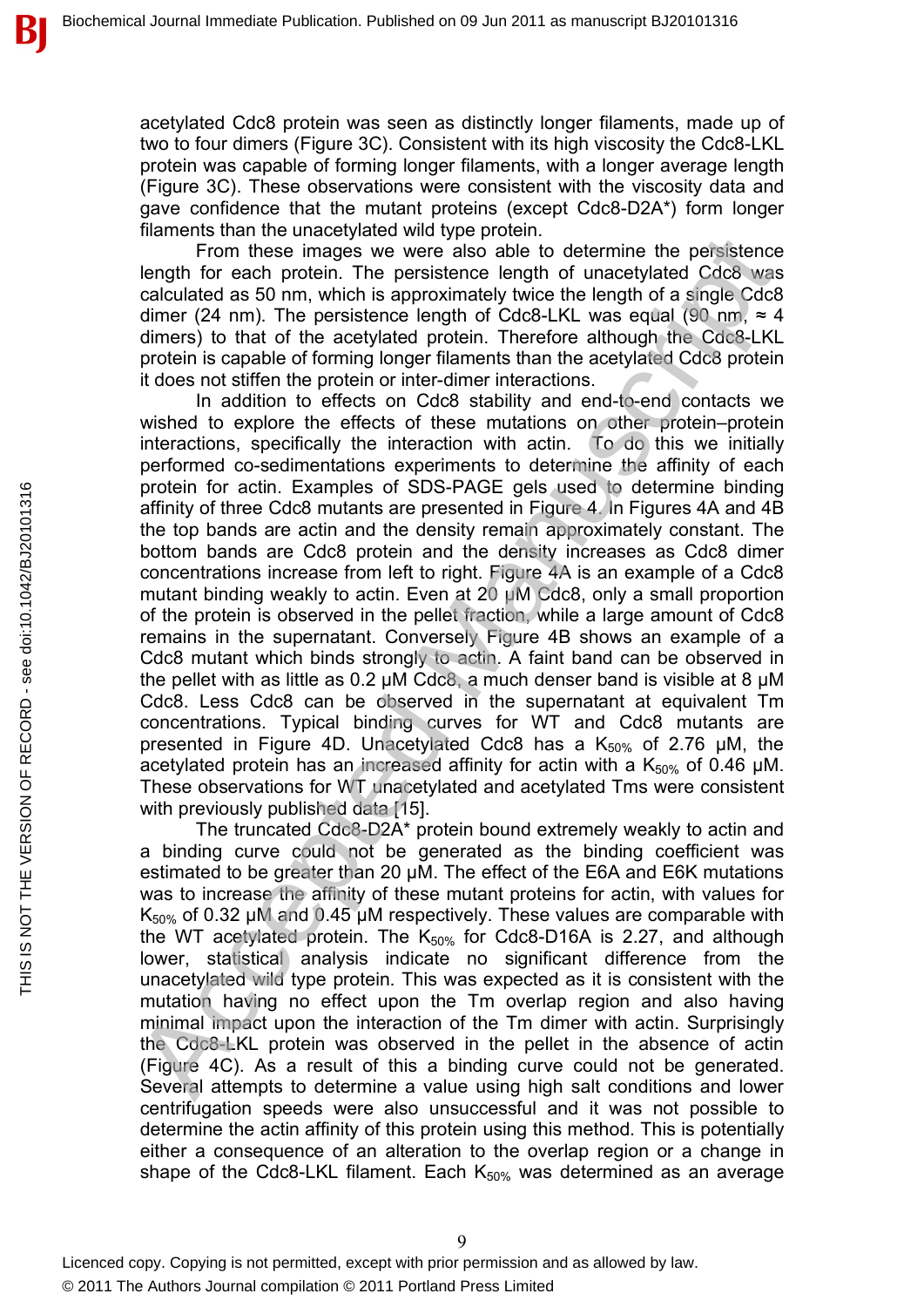acetylated Cdc8 protein was seen as distinctly longer filaments, made up of two to four dimers (Figure 3C). Consistent with its high viscosity the Cdc8-LKL protein was capable of forming longer filaments, with a longer average length (Figure 3C). These observations were consistent with the viscosity data and gave confidence that the mutant proteins (except Cdc8-D2A\*) form longer filaments than the unacetylated wild type protein.

From these images we were also able to determine the persistence length for each protein. The persistence length of unacetylated Cdc8 was calculated as 50 nm, which is approximately twice the length of a single Cdc8 dimer (24 nm). The persistence length of Cdc8-LKL was equal (90 nm,  $\approx$  4 dimers) to that of the acetylated protein. Therefore although the Cdc8-LKL protein is capable of forming longer filaments than the acetylated Cdc8 protein it does not stiffen the protein or inter-dimer interactions.

In addition to effects on Cdc8 stability and end-to-end contacts we wished to explore the effects of these mutations on other protein–protein interactions, specifically the interaction with actin. To do this we initially performed co-sedimentations experiments to determine the affinity of each protein for actin. Examples of SDS-PAGE gels used to determine binding affinity of three Cdc8 mutants are presented in Figure 4. In Figures 4A and 4B the top bands are actin and the density remain approximately constant. The bottom bands are Cdc8 protein and the density increases as Cdc8 dimer concentrations increase from left to right. Figure 4A is an example of a Cdc8 mutant binding weakly to actin. Even at 20 µM Cdc8, only a small proportion of the protein is observed in the pellet fraction, while a large amount of Cdc8 remains in the supernatant. Conversely Figure 4B shows an example of a Cdc8 mutant which binds strongly to actin. A faint band can be observed in the pellet with as little as  $0.2 \mu M$  Cdc8, a much denser band is visible at 8  $\mu$ M Cdc8. Less Cdc8 can be observed in the supernatant at equivalent Tm concentrations. Typical binding curves for WT and Cdc8 mutants are presented in Figure 4D. Unacetylated Cdc8 has a  $K_{50\%}$  of 2.76  $\mu$ M, the acetylated protein has an increased affinity for actin with a  $K_{50\%}$  of 0.46 µM. These observations for WT unacetylated and acetylated Tms were consistent with previously published data [15]. manning the rank of the president in the periodic of the matery and the material and control the material and the material and the methalic case. The material of the acceptibility the material density of the denter (24 mm)

The truncated Cdc8-D2A\* protein bound extremely weakly to actin and a binding curve could not be generated as the binding coefficient was estimated to be greater than 20 µM. The effect of the E6A and E6K mutations was to increase the affinity of these mutant proteins for actin, with values for  $K_{50\%}$  of 0.32 µM and 0.45 µM respectively. These values are comparable with the WT acetylated protein. The  $K_{50\%}$  for Cdc8-D16A is 2.27, and although lower, statistical analysis indicate no significant difference from the unacetylated wild type protein. This was expected as it is consistent with the mutation having no effect upon the Tm overlap region and also having minimal impact upon the interaction of the Tm dimer with actin. Surprisingly the Cdc8-LKL protein was observed in the pellet in the absence of actin (Figure 4C). As a result of this a binding curve could not be generated. Several attempts to determine a value using high salt conditions and lower centrifugation speeds were also unsuccessful and it was not possible to determine the actin affinity of this protein using this method. This is potentially either a consequence of an alteration to the overlap region or a change in shape of the Cdc8-LKL filament. Each  $K_{50\%}$  was determined as an average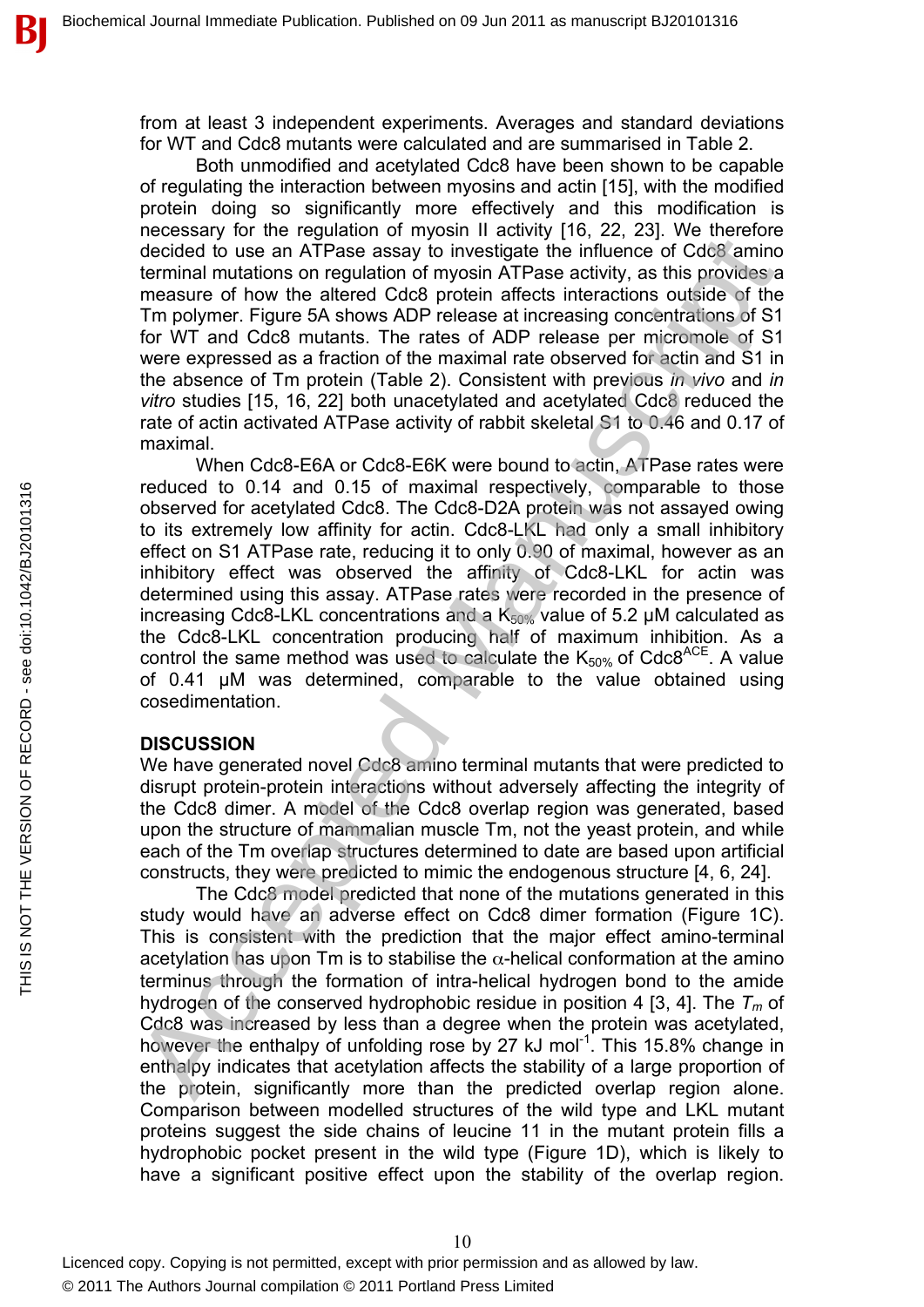from at least 3 independent experiments. Averages and standard deviations for WT and Cdc8 mutants were calculated and are summarised in Table 2.

Both unmodified and acetylated Cdc8 have been shown to be capable of regulating the interaction between myosins and actin [15], with the modified protein doing so significantly more effectively and this modification is necessary for the regulation of myosin II activity [16, 22, 23]. We therefore decided to use an ATPase assay to investigate the influence of Cdc8 amino terminal mutations on regulation of myosin ATPase activity, as this provides a measure of how the altered Cdc8 protein affects interactions outside of the Tm polymer. Figure 5A shows ADP release at increasing concentrations of S1 for WT and Cdc8 mutants. The rates of ADP release per micromole of S1 were expressed as a fraction of the maximal rate observed for actin and S1 in the absence of Tm protein (Table 2). Consistent with previous *in vivo* and *in vitro* studies [15, 16, 22] both unacetylated and acetylated Cdc8 reduced the rate of actin activated ATPase activity of rabbit skeletal S1 to 0.46 and 0.17 of maximal.

When Cdc8-E6A or Cdc8-E6K were bound to actin, ATPase rates were reduced to 0.14 and 0.15 of maximal respectively, comparable to those observed for acetylated Cdc8. The Cdc8-D2A protein was not assayed owing to its extremely low affinity for actin. Cdc8-LKL had only a small inhibitory effect on S1 ATPase rate, reducing it to only 0.90 of maximal, however as an inhibitory effect was observed the affinity of Cdc8-LKL for actin was determined using this assay. ATPase rates were recorded in the presence of increasing Cdc8-LKL concentrations and a  $K_{50\%}$  value of 5.2 µM calculated as the Cdc8-LKL concentration producing half of maximum inhibition. As a control the same method was used to calculate the  $K_{50\%}$  of Cdc8<sup>ACE</sup>. A value of 0.41 µM was determined, comparable to the value obtained using cosedimentation. notices.<br>The content of the set allows and a move in the set and the set allows are decided to use an ATPase assay to investigate the influence of Cdc8 annion<br>measure of how the altered Cdc8 protein affects interactions o

#### **DISCUSSION**

We have generated novel Cdc8 amino terminal mutants that were predicted to disrupt protein-protein interactions without adversely affecting the integrity of the Cdc8 dimer. A model of the Cdc8 overlap region was generated, based upon the structure of mammalian muscle Tm, not the yeast protein, and while each of the Tm overlap structures determined to date are based upon artificial constructs, they were predicted to mimic the endogenous structure [4, 6, 24].

The Cdc8 model predicted that none of the mutations generated in this study would have an adverse effect on Cdc8 dimer formation (Figure 1C). This is consistent with the prediction that the major effect amino-terminal acetylation has upon Tm is to stabilise the  $\alpha$ -helical conformation at the amino terminus through the formation of intra-helical hydrogen bond to the amide hydrogen of the conserved hydrophobic residue in position 4 [3, 4]. The *Tm* of Cdc8 was increased by less than a degree when the protein was acetylated, however the enthalpy of unfolding rose by 27 kJ mol<sup>-1</sup>. This 15.8% change in enthalpy indicates that acetylation affects the stability of a large proportion of the protein, significantly more than the predicted overlap region alone. Comparison between modelled structures of the wild type and LKL mutant proteins suggest the side chains of leucine 11 in the mutant protein fills a hydrophobic pocket present in the wild type (Figure 1D), which is likely to have a significant positive effect upon the stability of the overlap region.

Ď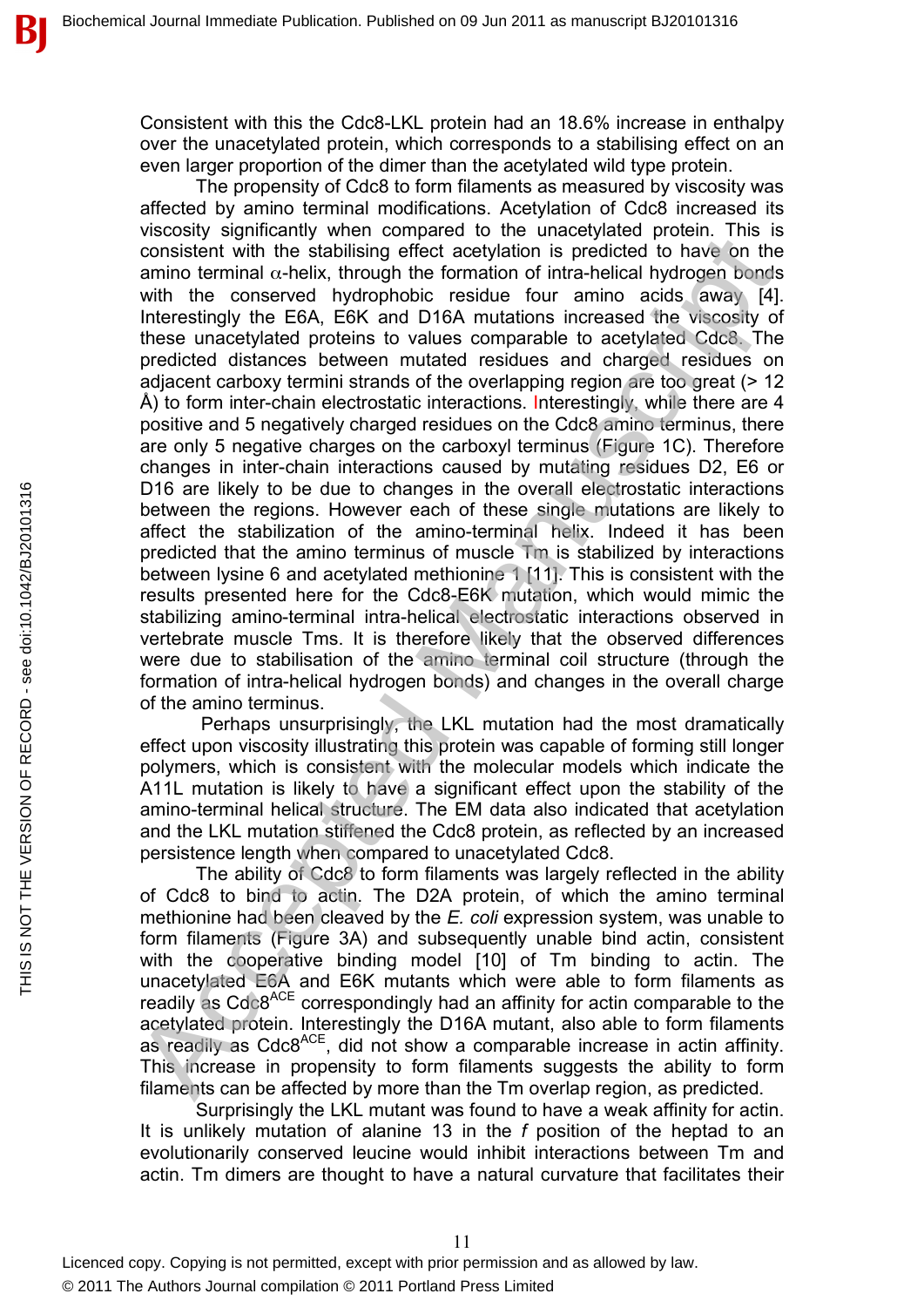Consistent with this the Cdc8-LKL protein had an 18.6% increase in enthalpy over the unacetylated protein, which corresponds to a stabilising effect on an even larger proportion of the dimer than the acetylated wild type protein.

The propensity of Cdc8 to form filaments as measured by viscosity was affected by amino terminal modifications. Acetylation of Cdc8 increased its viscosity significantly when compared to the unacetylated protein. This is consistent with the stabilising effect acetylation is predicted to have on the amino terminal  $\alpha$ -helix, through the formation of intra-helical hydrogen bonds with the conserved hydrophobic residue four amino acids away [4]. Interestingly the E6A, E6K and D16A mutations increased the viscosity of these unacetylated proteins to values comparable to acetylated Cdc8. The predicted distances between mutated residues and charged residues on adjacent carboxy termini strands of the overlapping region are too great (> 12 Å) to form inter-chain electrostatic interactions. Interestingly, while there are 4 positive and 5 negatively charged residues on the Cdc8 amino terminus, there are only 5 negative charges on the carboxyl terminus (Figure 1C). Therefore changes in inter-chain interactions caused by mutating residues D2, E6 or D16 are likely to be due to changes in the overall electrostatic interactions between the regions. However each of these single mutations are likely to affect the stabilization of the amino-terminal helix. Indeed it has been predicted that the amino terminus of muscle Tm is stabilized by interactions between lysine 6 and acetylated methionine 1 [11]. This is consistent with the results presented here for the Cdc8-E6K mutation, which would mimic the stabilizing amino-terminal intra-helical electrostatic interactions observed in vertebrate muscle Tms. It is therefore likely that the observed differences were due to stabilisation of the amino terminal coil structure (through the formation of intra-helical hydrogen bonds) and changes in the overall charge of the amino terminus. Consider the teaching three consideration of three smacrosycies of the momento term in the stabilising effect acceluation is prediced to have on the awith the conserved hydrophobic residue for a minio acids away [4]. Inter

Perhaps unsurprisingly, the LKL mutation had the most dramatically effect upon viscosity illustrating this protein was capable of forming still longer polymers, which is consistent with the molecular models which indicate the A11L mutation is likely to have a significant effect upon the stability of the amino-terminal helical structure. The EM data also indicated that acetylation and the LKL mutation stiffened the Cdc8 protein, as reflected by an increased persistence length when compared to unacetylated Cdc8.

The ability of Cdc8 to form filaments was largely reflected in the ability of Cdc8 to bind to actin. The D2A protein, of which the amino terminal methionine had been cleaved by the *E. coli* expression system, was unable to form filaments (Figure 3A) and subsequently unable bind actin, consistent with the cooperative binding model [10] of Tm binding to actin. The unacetylated E6A and E6K mutants which were able to form filaments as readily as Cdc8ACE correspondingly had an affinity for actin comparable to the acetylated protein. Interestingly the D16A mutant, also able to form filaments as readily as Cdc8ACE, did not show a comparable increase in actin affinity. This increase in propensity to form filaments suggests the ability to form filaments can be affected by more than the Tm overlap region, as predicted.

Surprisingly the LKL mutant was found to have a weak affinity for actin. It is unlikely mutation of alanine 13 in the *f* position of the heptad to an evolutionarily conserved leucine would inhibit interactions between Tm and actin. Tm dimers are thought to have a natural curvature that facilitates their

11

В

Licenced copy. Copying is not permitted, except with prior permission and as allowed by law.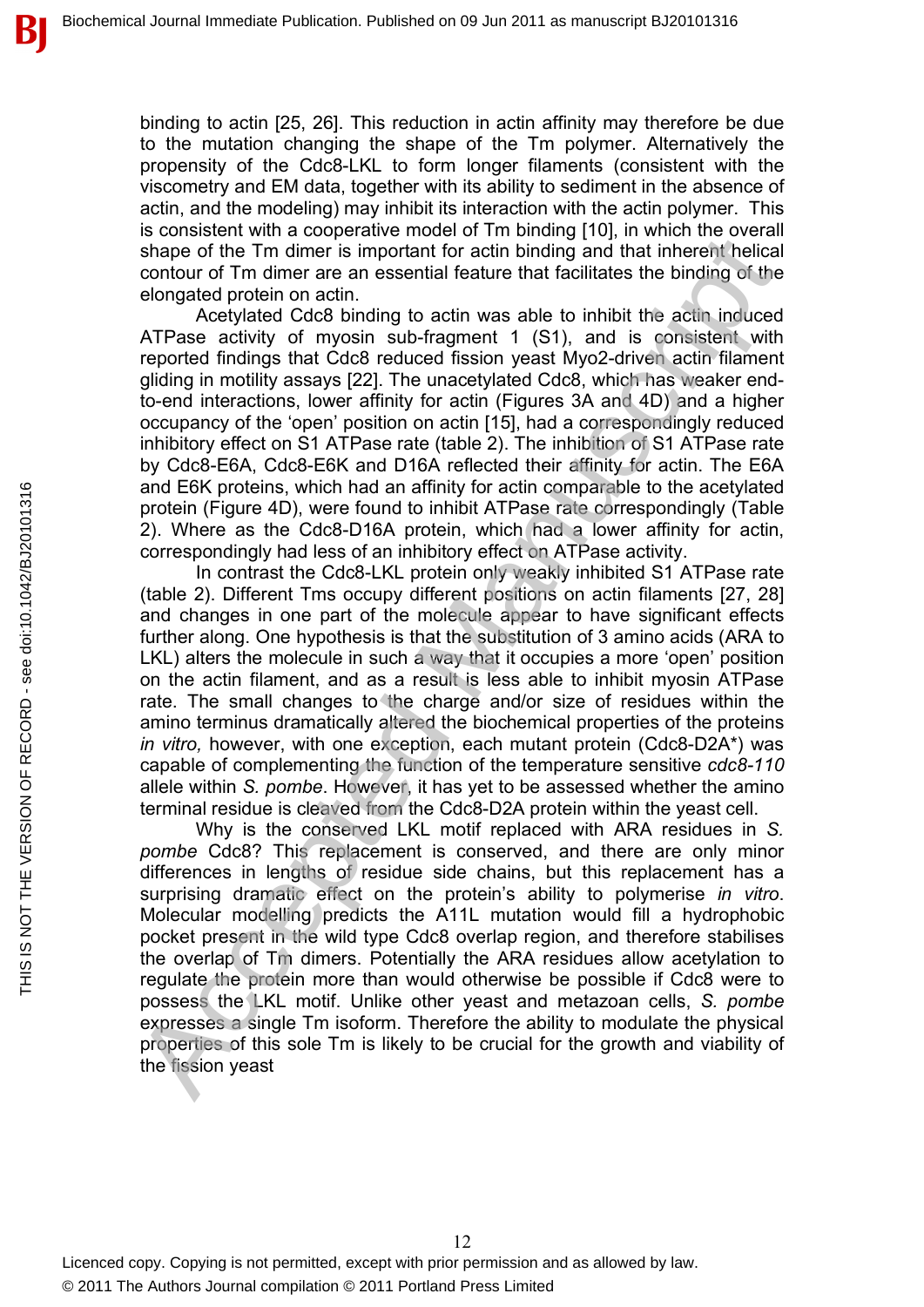binding to actin [25, 26]. This reduction in actin affinity may therefore be due to the mutation changing the shape of the Tm polymer. Alternatively the propensity of the Cdc8-LKL to form longer filaments (consistent with the viscometry and EM data, together with its ability to sediment in the absence of actin, and the modeling) may inhibit its interaction with the actin polymer. This is consistent with a cooperative model of Tm binding [10], in which the overall shape of the Tm dimer is important for actin binding and that inherent helical contour of Tm dimer are an essential feature that facilitates the binding of the elongated protein on actin.

Acetylated Cdc8 binding to actin was able to inhibit the actin induced ATPase activity of myosin sub-fragment 1 (S1), and is consistent with reported findings that Cdc8 reduced fission yeast Myo2-driven actin filament gliding in motility assays [22]. The unacetylated Cdc8, which has weaker endto-end interactions, lower affinity for actin (Figures 3A and 4D) and a higher occupancy of the 'open' position on actin [15], had a correspondingly reduced inhibitory effect on S1 ATPase rate (table 2). The inhibition of S1 ATPase rate by Cdc8-E6A, Cdc8-E6K and D16A reflected their affinity for actin. The E6A and E6K proteins, which had an affinity for actin comparable to the acetylated protein (Figure 4D), were found to inhibit ATPase rate correspondingly (Table 2). Where as the Cdc8-D16A protein, which had a lower affinity for actin, correspondingly had less of an inhibitory effect on ATPase activity.

In contrast the Cdc8-LKL protein only weakly inhibited S1 ATPase rate (table 2). Different Tms occupy different positions on actin filaments [27, 28] and changes in one part of the molecule appear to have significant effects further along. One hypothesis is that the substitution of 3 amino acids (ARA to LKL) alters the molecule in such a way that it occupies a more 'open' position on the actin filament, and as a result is less able to inhibit myosin ATPase rate. The small changes to the charge and/or size of residues within the amino terminus dramatically altered the biochemical properties of the proteins *in vitro,* however, with one exception, each mutant protein (Cdc8-D2A\*) was capable of complementing the function of the temperature sensitive *cdc8-110* allele within *S. pombe*. However, it has yet to be assessed whether the amino terminal residue is cleaved from the Cdc8-D2A protein within the yeast cell. by other are an energy and the binality in which we count<br>of the Tm dimer is important for actin binding and that indentified<br>clied the Simportant energy in the manuscription and the clied energy elongated protein on achin

Why is the conserved LKL motif replaced with ARA residues in *S. pombe* Cdc8? This replacement is conserved, and there are only minor differences in lengths of residue side chains, but this replacement has a surprising dramatic effect on the protein's ability to polymerise *in vitro*. Molecular modelling predicts the A11L mutation would fill a hydrophobic pocket present in the wild type Cdc8 overlap region, and therefore stabilises the overlap of Tm dimers. Potentially the ARA residues allow acetylation to regulate the protein more than would otherwise be possible if Cdc8 were to possess the LKL motif. Unlike other yeast and metazoan cells, *S. pombe* expresses a single Tm isoform. Therefore the ability to modulate the physical properties of this sole Tm is likely to be crucial for the growth and viability of the fission yeast

THIS IS NOT THE VERSION OF RECORD - see doi:10.1042/BJ20101316

THIS IS NOT THE VERSION OF RECORD - see doi:10.1042/BJ20101316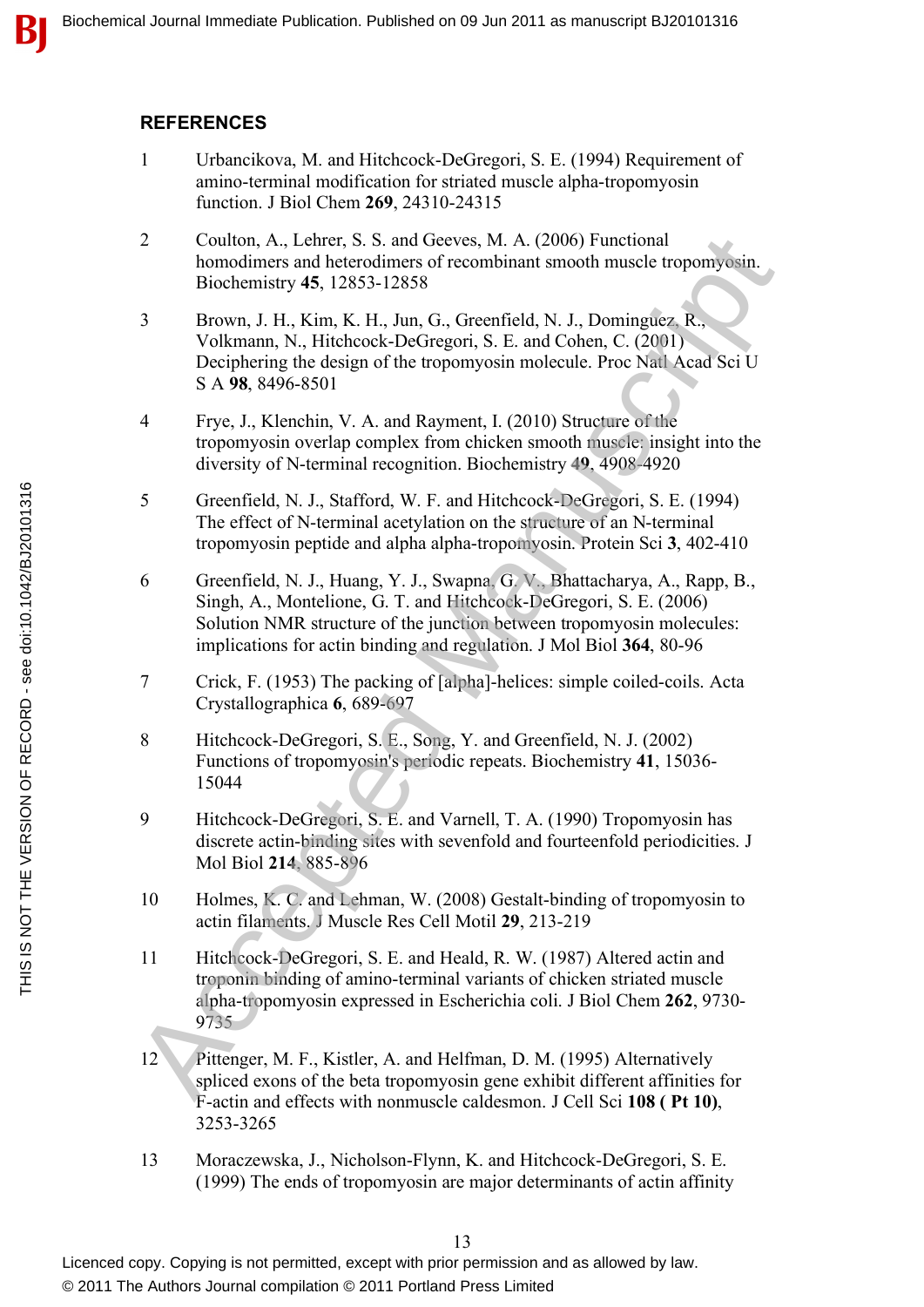#### **REFERENCES**

- 1 Urbancikova, M. and Hitchcock-DeGregori, S. E. (1994) Requirement of amino-terminal modification for striated muscle alpha-tropomyosin function. J Biol Chem **269**, 24310-24315
- 2 Coulton, A., Lehrer, S. S. and Geeves, M. A. (2006) Functional homodimers and heterodimers of recombinant smooth muscle tropomyosin. Biochemistry **45**, 12853-12858
- 3 Brown, J. H., Kim, K. H., Jun, G., Greenfield, N. J., Dominguez, R., Volkmann, N., Hitchcock-DeGregori, S. E. and Cohen, C. (2001) Deciphering the design of the tropomyosin molecule. Proc Natl Acad Sci U S A **98**, 8496-8501 2<br>
Coulto, A., Leher, S. S. and Geeves, M. A. (2006) Functional<br>
homodimesr san keterodimes of recombinat model muscle tropomyocin.<br>
Hochemistry 45, 12853-12858<br>
3<br>
Towon, J. H., Kim, K. H., Jun, G., Greenfield, N. J., Do
- 4 Frye, J., Klenchin, V. A. and Rayment, I. (2010) Structure of the tropomyosin overlap complex from chicken smooth muscle: insight into the diversity of N-terminal recognition. Biochemistry **49**, 4908-4920
- 5 Greenfield, N. J., Stafford, W. F. and Hitchcock-DeGregori, S. E. (1994) The effect of N-terminal acetylation on the structure of an N-terminal tropomyosin peptide and alpha alpha-tropomyosin. Protein Sci **3**, 402-410
- 6 Greenfield, N. J., Huang, Y. J., Swapna, G. V., Bhattacharya, A., Rapp, B., Singh, A., Montelione, G. T. and Hitchcock-DeGregori, S. E. (2006) Solution NMR structure of the junction between tropomyosin molecules: implications for actin binding and regulation. J Mol Biol **364**, 80-96
- 7 Crick, F. (1953) The packing of [alpha]-helices: simple coiled-coils. Acta Crystallographica **6**, 689-697
- 8 Hitchcock-DeGregori, S. E., Song, Y. and Greenfield, N. J. (2002) Functions of tropomyosin's periodic repeats. Biochemistry **41**, 15036- 15044
- 9 Hitchcock-DeGregori, S. E. and Varnell, T. A. (1990) Tropomyosin has discrete actin-binding sites with sevenfold and fourteenfold periodicities. J Mol Biol **214**, 885-896
- 10 Holmes, K. C. and Lehman, W. (2008) Gestalt-binding of tropomyosin to actin filaments. J Muscle Res Cell Motil **29**, 213-219
- 11 Hitchcock-DeGregori, S. E. and Heald, R. W. (1987) Altered actin and troponin binding of amino-terminal variants of chicken striated muscle alpha-tropomyosin expressed in Escherichia coli. J Biol Chem **262**, 9730- 9735
- 12 Pittenger, M. F., Kistler, A. and Helfman, D. M. (1995) Alternatively spliced exons of the beta tropomyosin gene exhibit different affinities for F-actin and effects with nonmuscle caldesmon. J Cell Sci **108 ( Pt 10)**, 3253-3265
- 13 Moraczewska, J., Nicholson-Flynn, K. and Hitchcock-DeGregori, S. E. (1999) The ends of tropomyosin are major determinants of actin affinity

В

Licenced copy. Copying is not permitted, except with prior permission and as allowed by law. © 2011 The Authors Journal compilation © 2011 Portland Press Limited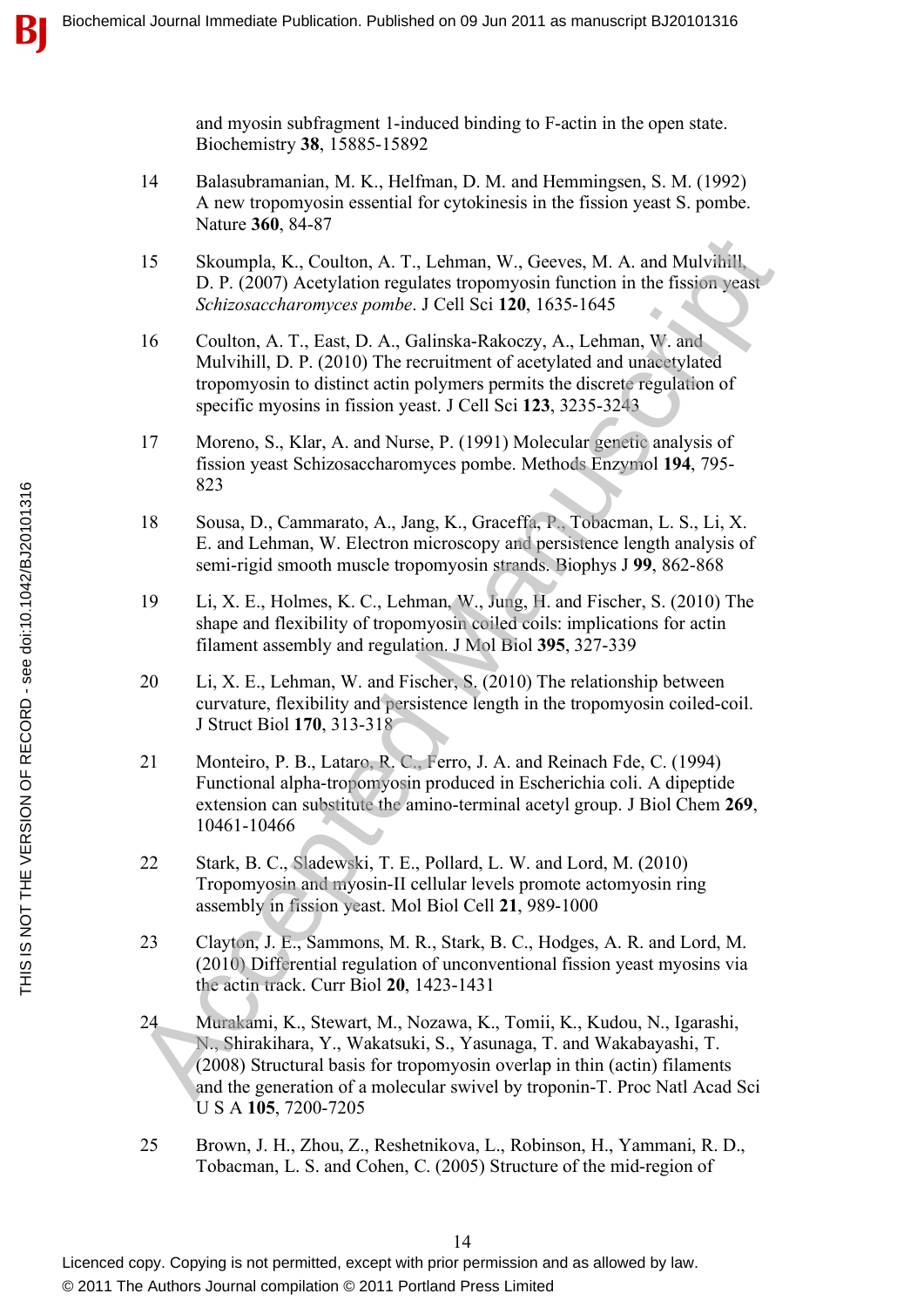and myosin subfragment 1-induced binding to F-actin in the open state. Biochemistry **38**, 15885-15892

- 14 Balasubramanian, M. K., Helfman, D. M. and Hemmingsen, S. M. (1992) A new tropomyosin essential for cytokinesis in the fission yeast S. pombe. Nature **360**, 84-87
- 15 Skoumpla, K., Coulton, A. T., Lehman, W., Geeves, M. A. and Mulvihill, D. P. (2007) Acetylation regulates tropomyosin function in the fission yeast *Schizosaccharomyces pombe*. J Cell Sci **120**, 1635-1645
- 16 Coulton, A. T., East, D. A., Galinska-Rakoczy, A., Lehman, W. and Mulvihill, D. P. (2010) The recruitment of acetylated and unacetylated tropomyosin to distinct actin polymers permits the discrete regulation of specific myosins in fission yeast. J Cell Sci **123**, 3235-3243
- 17 Moreno, S., Klar, A. and Nurse, P. (1991) Molecular genetic analysis of fission yeast Schizosaccharomyces pombe. Methods Enzymol **194**, 795- 823
- 18 Sousa, D., Cammarato, A., Jang, K., Graceffa, P., Tobacman, L. S., Li, X. E. and Lehman, W. Electron microscopy and persistence length analysis of semi-rigid smooth muscle tropomyosin strands. Biophys J **99**, 862-868
- 19 Li, X. E., Holmes, K. C., Lehman, W., Jung, H. and Fischer, S. (2010) The shape and flexibility of tropomyosin coiled coils: implications for actin filament assembly and regulation. J Mol Biol **395**, 327-339
- 20 Li, X. E., Lehman, W. and Fischer, S. (2010) The relationship between curvature, flexibility and persistence length in the tropomyosin coiled-coil. J Struct Biol **170**, 313-318
- 21 Monteiro, P. B., Lataro, R. C., Ferro, J. A. and Reinach Fde, C. (1994) Functional alpha-tropomyosin produced in Escherichia coli. A dipeptide extension can substitute the amino-terminal acetyl group. J Biol Chem **269**, 10461-10466
- 22 Stark, B. C., Sladewski, T. E., Pollard, L. W. and Lord, M. (2010) Tropomyosin and myosin-II cellular levels promote actomyosin ring assembly in fission yeast. Mol Biol Cell **21**, 989-1000
- 23 Clayton, J. E., Sammons, M. R., Stark, B. C., Hodges, A. R. and Lord, M. (2010) Differential regulation of unconventional fission yeast myosins via the actin track. Curr Biol **20**, 1423-1431
- 24 Murakami, K., Stewart, M., Nozawa, K., Tomii, K., Kudou, N., Igarashi, N., Shirakihara, Y., Wakatsuki, S., Yasunaga, T. and Wakabayashi, T. (2008) Structural basis for tropomyosin overlap in thin (actin) filaments and the generation of a molecular swivel by troponin-T. Proc Natl Acad Sci U S A **105**, 7200-7205 15 Skoumpla, K., Coulton, A. T., I.ehman, W., Geeves, M. A., and Mulvinil,<br>
19. P. (2007) Acceptation regulates troponyosin function in the fission yeas<br>
5. P. (2007) Acceptation regulates troponyosin function<br>
16. Coulto
- 25 Brown, J. H., Zhou, Z., Reshetnikova, L., Robinson, H., Yammani, R. D., Tobacman, L. S. and Cohen, C. (2005) Structure of the mid-region of

Licenced copy. Copying is not permitted, except with prior permission and as allowed by law. © 2011 The Authors Journal compilation © 2011 Portland Press Limited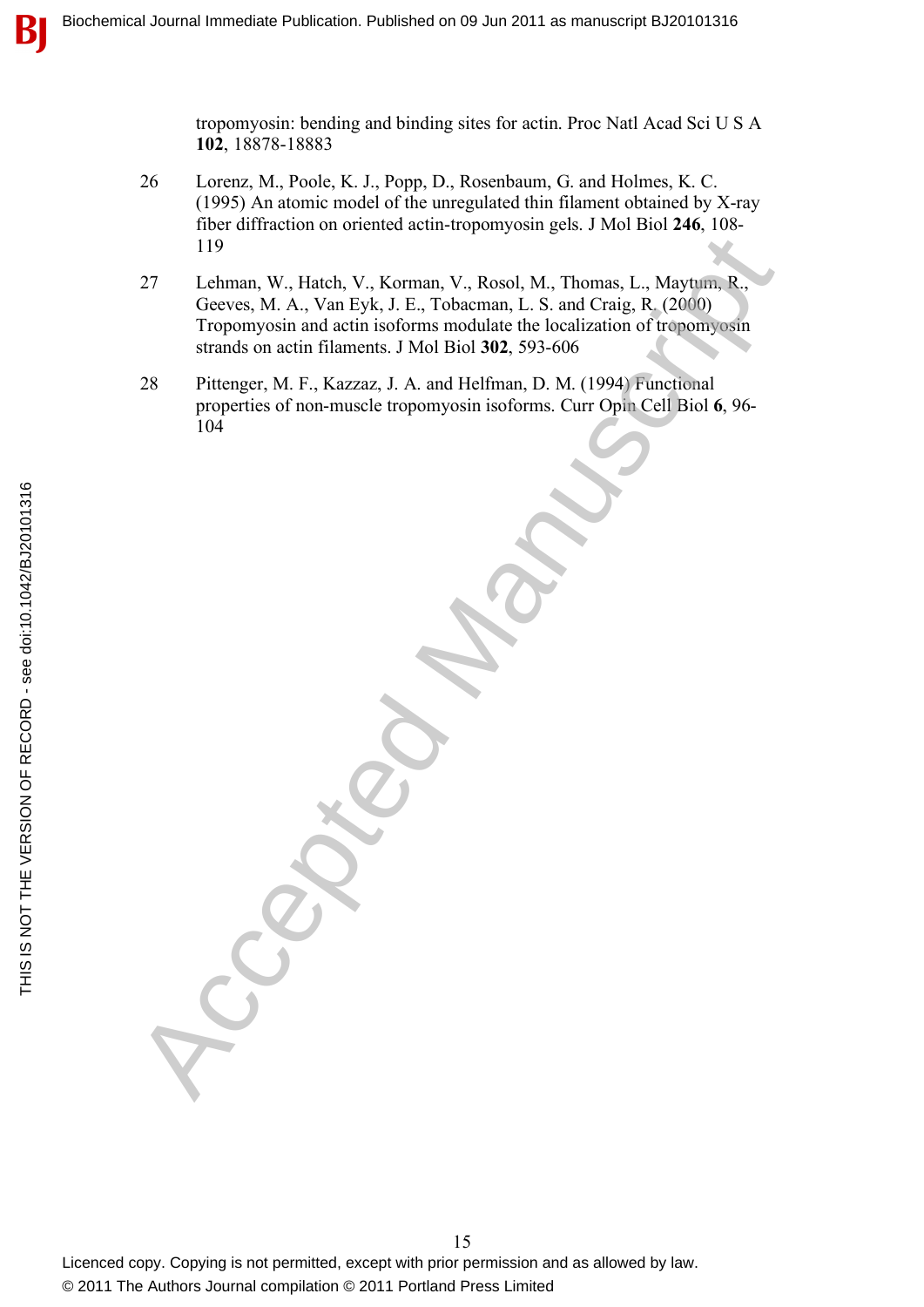tropomyosin: bending and binding sites for actin. Proc Natl Acad Sci U S A **102**, 18878-18883

- 26 Lorenz, M., Poole, K. J., Popp, D., Rosenbaum, G. and Holmes, K. C. (1995) An atomic model of the unregulated thin filament obtained by X-ray fiber diffraction on oriented actin-tropomyosin gels. J Mol Biol **246**, 108- 119
- 27 Lehman, W., Hatch, V., Korman, V., Rosol, M., Thomas, L., Maytum, R., Geeves, M. A., Van Eyk, J. E., Tobacman, L. S. and Craig, R. (2000) Tropomyosin and actin isoforms modulate the localization of tropomyosin strands on actin filaments. J Mol Biol **302**, 593-606 119<br>
Lethman, W., Hatch, V., Korman, V., Rosol, M., Thomas, L., Maytum, R.<br>
Grocves, M. A., Van Eyk, J. E., Tobacman, L. S. and Craig, R. (2000)<br>
Troponyosin and actin isolomis nodulate the localization of irenomyosin<br>
ara
- 28 Pittenger, M. F., Kazzaz, J. A. and Helfman, D. M. (1994) Functional properties of non-muscle tropomyosin isoforms. Curr Opin Cell Biol **6**, 96- 104

15 Licenced copy. Copying is not permitted, except with prior permission and as allowed by law. © 2011 The Authors Journal compilation © 2011 Portland Press Limited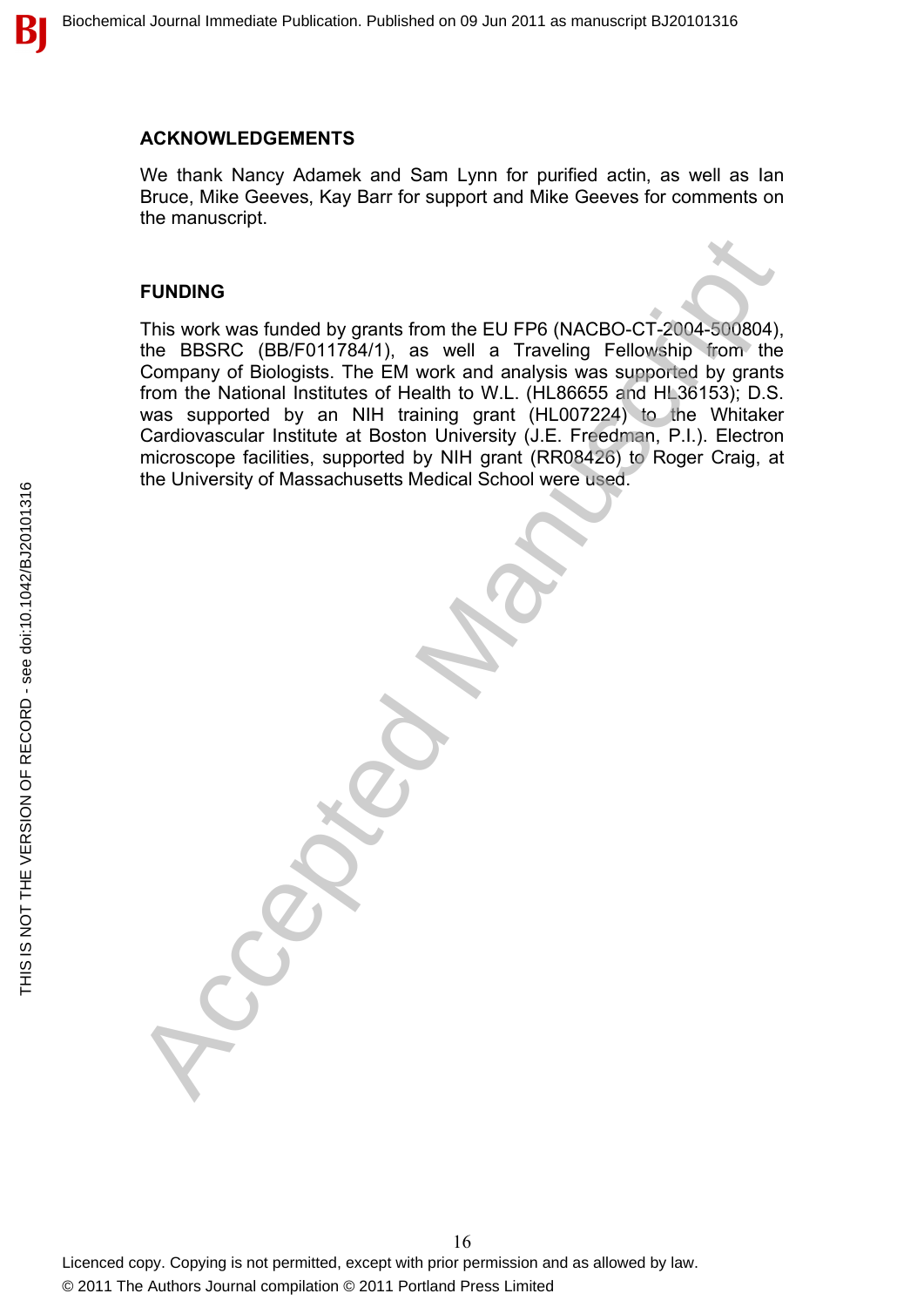#### **ACKNOWLEDGEMENTS**

We thank Nancy Adamek and Sam Lynn for purified actin, as well as Ian Bruce, Mike Geeves, Kay Barr for support and Mike Geeves for comments on the manuscript.

#### **FUNDING**

This work was funded by grants from the EU FP6 (NACBO-CT-2004-500804), the BBSRC (BB/F011784/1), as well a Traveling Fellowship from the Company of Biologists. The EM work and analysis was supported by grants from the National Institutes of Health to W.L. (HL86655 and HL36153); D.S. was supported by an NIH training grant (HL007224) to the Whitaker Cardiovascular Institute at Boston University (J.E. Freedman, P.I.). Electron microscope facilities, supported by NIH grant (RR08426) to Roger Craig, at the University of Massachusetts Medical School were used. FUNDING<br>
This work was funded by grants from the EU FP6 (NACBO-CT-2004-500904)<br>
the BBSRC (BB/F0117841), as well a Traveling Fellowship from the<br>
Company of Biologists. The EM work and analysis was supported by grants<br>
was

 $\bf{B}$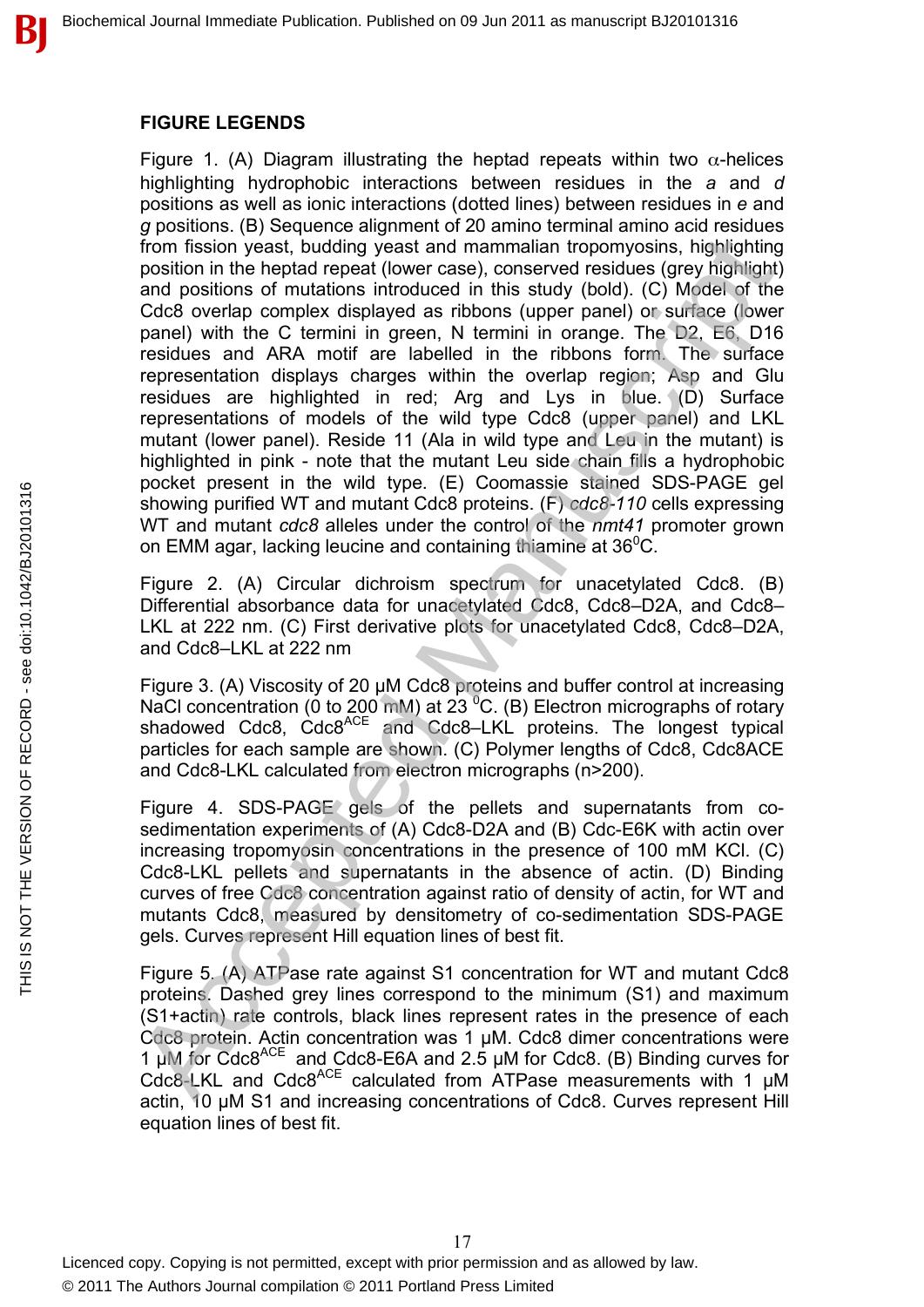#### **FIGURE LEGENDS**

Figure 1. (A) Diagram illustrating the heptad repeats within two  $\alpha$ -helices highlighting hydrophobic interactions between residues in the *a* and *d* positions as well as ionic interactions (dotted lines) between residues in *e* and *g* positions. (B) Sequence alignment of 20 amino terminal amino acid residues from fission yeast, budding yeast and mammalian tropomyosins, highlighting position in the heptad repeat (lower case), conserved residues (grey highlight) and positions of mutations introduced in this study (bold). (C) Model of the Cdc8 overlap complex displayed as ribbons (upper panel) or surface (lower panel) with the C termini in green, N termini in orange. The D2, E6, D16 residues and ARA motif are labelled in the ribbons form. The surface representation displays charges within the overlap region; Asp and Glu residues are highlighted in red; Arg and Lys in blue. (D) Surface representations of models of the wild type Cdc8 (upper panel) and LKL mutant (lower panel). Reside 11 (Ala in wild type and Leu in the mutant) is highlighted in pink - note that the mutant Leu side chain fills a hydrophobic pocket present in the wild type. (E) Coomassie stained SDS-PAGE gel showing purified WT and mutant Cdc8 proteins. (F) *cdc8-110* cells expressing WT and mutant *cdc8* alleles under the control of the *nmt41* promoter grown on EMM agar, lacking leucine and containing thiamine at  $36^0C$ . From fission years, budding years and mammalia in tropomysins, highlighting parts and mammalia tropomysins, highlighting and positions of mutations introduced in this study (bold). (C) Model of the Cace<br>of overlap complex

Figure 2. (A) Circular dichroism spectrum for unacetylated Cdc8. (B) Differential absorbance data for unacetylated Cdc8, Cdc8–D2A, and Cdc8– LKL at 222 nm. (C) First derivative plots for unacetylated Cdc8, Cdc8–D2A, and Cdc8–LKL at 222 nm

Figure 3. (A) Viscosity of 20 µM Cdc8 proteins and buffer control at increasing NaCl concentration (0 to 200 mM) at  $23<sup>0</sup>C$ . (B) Electron micrographs of rotary shadowed Cdc8, Cdc8<sup>ACE</sup> and Cdc8–LKL proteins. The longest typical particles for each sample are shown. (C) Polymer lengths of Cdc8, Cdc8ACE and Cdc8-LKL calculated from electron micrographs (n>200).

Figure 4. SDS-PAGE gels of the pellets and supernatants from cosedimentation experiments of (A) Cdc8-D2A and (B) Cdc-E6K with actin over increasing tropomyosin concentrations in the presence of 100 mM KCl. (C) Cdc8-LKL pellets and supernatants in the absence of actin. (D) Binding curves of free Cdc8 concentration against ratio of density of actin, for WT and mutants Cdc8, measured by densitometry of co-sedimentation SDS-PAGE gels. Curves represent Hill equation lines of best fit.

Figure 5. (A) ATPase rate against S1 concentration for WT and mutant Cdc8 proteins. Dashed grey lines correspond to the minimum (S1) and maximum (S1+actin) rate controls, black lines represent rates in the presence of each Cdc8 protein. Actin concentration was 1 µM. Cdc8 dimer concentrations were 1  $\mu$ M for Cdc8<sup>ACE</sup> and Cdc8-E6A and 2.5  $\mu$ M for Cdc8. (B) Binding curves for Cdc8-LKL and Cdc8<sup>ACE</sup> calculated from ATPase measurements with 1 µM actin, 10 µM S1 and increasing concentrations of Cdc8. Curves represent Hill equation lines of best fit.

17 Licenced copy. Copying is not permitted, except with prior permission and as allowed by law. © 2011 The Authors Journal compilation © 2011 Portland Press Limited

В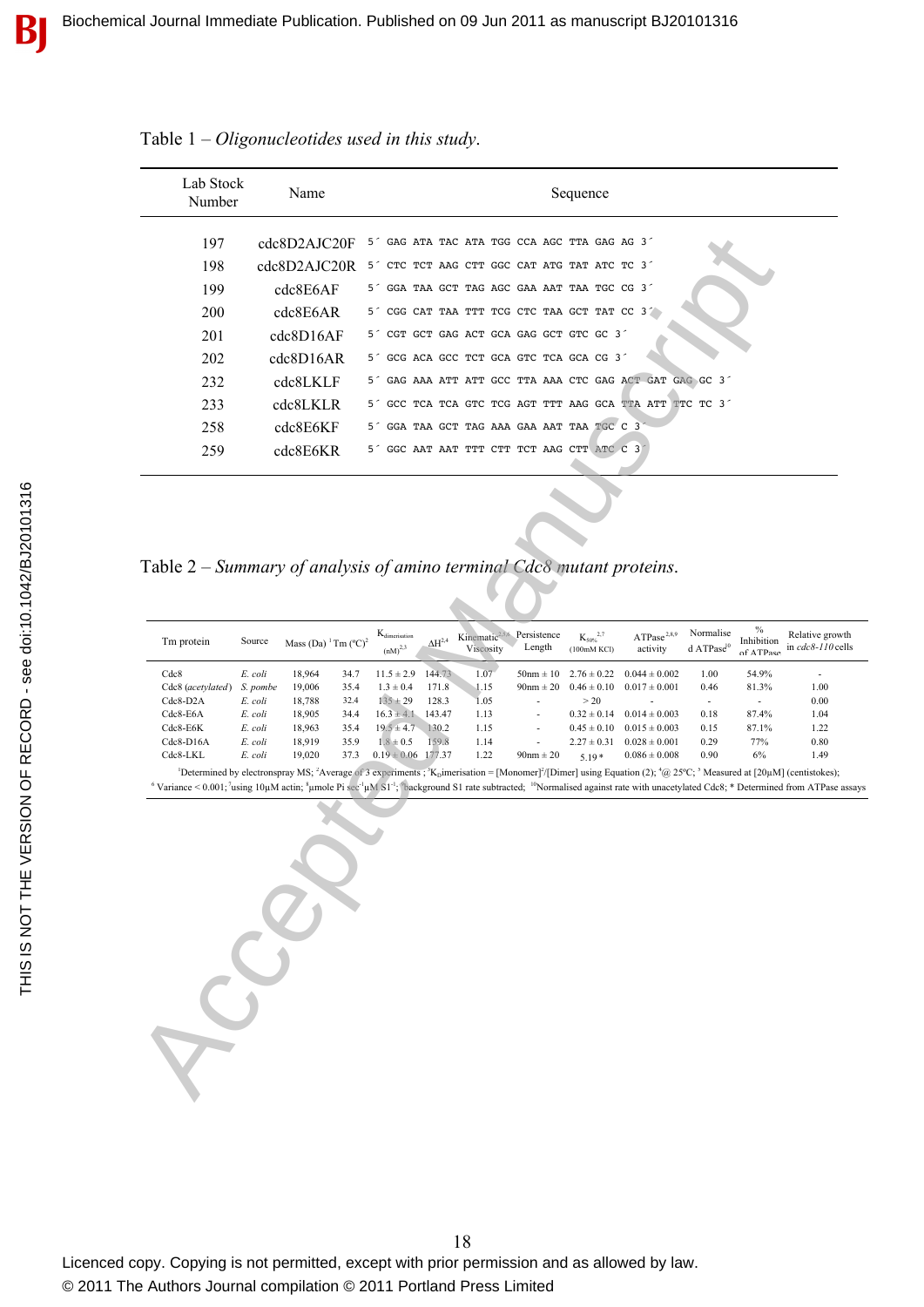| Lab Stock<br>Number                                                                                                                                                                                                                                                                                                                                                                                                                                                                    | Name                                                                                                                                                                                                     | Sequence                                                                                                                                                                                                                                                                                                                                                                                                                                                                                                                                                                                                                                                                                                                                      |  |  |  |  |  |  |  |  |  |  |  |
|----------------------------------------------------------------------------------------------------------------------------------------------------------------------------------------------------------------------------------------------------------------------------------------------------------------------------------------------------------------------------------------------------------------------------------------------------------------------------------------|----------------------------------------------------------------------------------------------------------------------------------------------------------------------------------------------------------|-----------------------------------------------------------------------------------------------------------------------------------------------------------------------------------------------------------------------------------------------------------------------------------------------------------------------------------------------------------------------------------------------------------------------------------------------------------------------------------------------------------------------------------------------------------------------------------------------------------------------------------------------------------------------------------------------------------------------------------------------|--|--|--|--|--|--|--|--|--|--|--|
| 197<br>198<br>199<br>200<br>201<br>202<br>232<br>233<br>258<br>259                                                                                                                                                                                                                                                                                                                                                                                                                     | cdc8D2AJC20F<br>cdc8D2AJC20R<br>cdc8E6AF<br>cdc8E6AR<br>cdc8D16AF<br>cdc8D16AR<br>cdc8LKLF<br>cdc8LKLR<br>cdc8E6KF<br>cdc8E6KR                                                                           | GAG ATA TAC ATA TGG CCA AGC TTA GAG AG 3<br>5 <sup>2</sup><br>5' CTC TCT AAG CTT GGC CAT ATG TAT ATC TC 3'<br>5' GGA TAA GCT TAG AGC GAA AAT TAA TGC CG 3'<br>5' CGG CAT TAA TTT TCG CTC TAA GCT TAT CC 3'<br>CGT GCT GAG ACT GCA GAG GCT GTC GC 3<br>5 <sup>2</sup><br>5" GCG ACA GCC TCT GCA GTC TCA GCA CG 3"<br>GAG AAA ATT ATT GCC TTA AAA CTC GAG ACT GAT GAG GC 3<br>5 <sup>2</sup><br>GCC TCA TCA GTC TCG AGT TTT AAG GCA TTA ATT TTC TC 3<br>5 <sup>2</sup><br>GGA TAA GCT TAG AAA GAA AAT TAA TGC C 3<br>5 <sup>2</sup><br>5' GGC AAT AAT TTT CTT TCT AAG CTT ATC C 3'                                                                                                                                                              |  |  |  |  |  |  |  |  |  |  |  |
| Table 2 - Summary of analysis of amino terminal Cdc8 mutant proteins.<br>$\%$<br>Normalise<br>$\mathbf{K}_{\text{dimension}}$<br>Persistence<br>Kinematic <sup>2,5,6</sup><br>Relative gro<br>${K_{50\%}}^{2,7}$<br>ATPase <sup>2,8,9</sup><br>Tm protein<br>$\Delta H^{2,4}$<br>Source<br>Mass (Da) $\mathrm{m}$ (°C) <sup>2</sup><br>Inhibition<br>Length<br>d $\mathrm{ATPase}^{\mathrm{I}0}$<br>in $cdc8-110$<br>Viscosity<br>$(nM)^{2,3}$<br>activity<br>(100mM KCl)<br>of ATPase |                                                                                                                                                                                                          |                                                                                                                                                                                                                                                                                                                                                                                                                                                                                                                                                                                                                                                                                                                                               |  |  |  |  |  |  |  |  |  |  |  |
| Cdc8<br>Cdc8 (acetylated)<br>$Cdc8-D2A$<br>Cdc8-E6A<br>$Cdc8-E6K$<br>$Cdc8-D16A$<br>Cdc8-LKL                                                                                                                                                                                                                                                                                                                                                                                           | 18,964<br>E. coli<br>34.7<br>19,006<br>35.4<br>S. pombe<br>18,788<br>E. coli<br>32.4<br>E. coli<br>18,905<br>34.4<br>E. coli<br>18,963<br>35.4<br>18,919<br>E. coli<br>35.9<br>E. coli<br>19,020<br>37.3 | 144.73<br>1.07<br>54.9%<br>$11.5 \pm 2.9$<br>$50 \text{nm} \pm 10$<br>$2.76 \pm 0.22$<br>$0.044 \pm 0.002$<br>1.00<br>$1.3 \pm 0.4$<br>$0.46 \pm 0.10$<br>$0.017 \pm 0.001$<br>81.3%<br>1.00<br>171.8<br>1.15<br>$90nm \pm 20$<br>0.46<br>$135 \pm 29$<br>128.3<br>1.05<br>>20<br>0.00<br>$\blacksquare$<br>$\blacksquare$<br>$16.3 \pm 4.1$<br>143.47<br>$0.32 \pm 0.14$<br>$0.014 \pm 0.003$<br>87.4%<br>1.04<br>1.13<br>0.18<br>$19.5 \pm 4.7$<br>130.2<br>$0.015 \pm 0.003$<br>87.1%<br>1.15<br>$0.45 \pm 0.10$<br>0.15<br>1.22<br>$1.8 \pm 0.5$<br>159.8<br>77%<br>1.14<br>$2.27 \pm 0.31$<br>$0.028 \pm 0.001$<br>0.29<br>0.80<br>$0.19 \pm 0.06$ 177.37<br>1.22<br>$0.086 \pm 0.008$<br>0.90<br>6%<br>$90nm \pm 20$<br>$5.19*$<br>1.49 |  |  |  |  |  |  |  |  |  |  |  |
|                                                                                                                                                                                                                                                                                                                                                                                                                                                                                        | See                                                                                                                                                                                                      | <sup>1</sup> Determined by electronspray MS; <sup>2</sup> Average of 3 experiments; <sup>3</sup> K <sub>p</sub> imerisation = [Monomer] <sup>2</sup> /[Dimer] using Equation (2); <sup>4</sup> @ 25°C; <sup>5</sup> Measured at [20µM] (centistokes<br><sup>6</sup> Variance < 0.001; 'using 10µM actin; ${}^8$ µmole Pi sec <sup>-1</sup> µM S1 <sup>-1; 9</sup> background S1 rate subtracted; <sup>10</sup> Normalised against rate with unacetylated Cdc8; * Determined from ATPas                                                                                                                                                                                                                                                        |  |  |  |  |  |  |  |  |  |  |  |

Table 1 – *Oligonucleotides used in this study*.

Table 2 – *Summary of analysis of amino terminal Cdc8 mutant proteins*.

| Tm protein        | Source   | Mass (Da) $\rm{^1}$ Tm ( $\rm{^o}$ C) $\rm{^2}$ |      | $K_{dimension}$<br>$(nM)^{2,3}$ | $\Delta H^{2,4}$ | Kinematic <sup>2,5,6</sup><br>Viscosity | Persistence<br>Length | $K_{50\%}^{2,7}$<br>(100mM KCl) | ATPase <sup>2,8,9</sup><br>activity | Normalise<br>$d$ ATPase <sup>10</sup> | $\%$<br>Inhibition<br>of ATPase | Relative growth<br>in $cdc8-110$ cells |
|-------------------|----------|-------------------------------------------------|------|---------------------------------|------------------|-----------------------------------------|-----------------------|---------------------------------|-------------------------------------|---------------------------------------|---------------------------------|----------------------------------------|
| Cdc8              | E. coli  | 18.964                                          | 34.7 | $11.5 \pm 2.9$                  | 144.73           | 1.07                                    | $50 \text{nm} \pm 10$ | $2.76 \pm 0.22$                 | $0.044 \pm 0.002$                   | 1.00                                  | 54.9%                           | ۰                                      |
| Cdc8 (acetylated) | S. pombe | 19.006                                          | 35.4 | $1.3 \pm 0.4$                   | 171.8            | 1.15                                    | $90 \text{nm} \pm 20$ | $0.46 \pm 0.10$                 | $0.017 \pm 0.001$                   | 0.46                                  | 81.3%                           | 1.00                                   |
| $Cdc8-D2A$        | E. coli  | 18.788                                          | 32.4 | $135 \pm 29$                    | 128.3            | 1.05                                    |                       | > 20                            |                                     |                                       |                                 | 0.00                                   |
| $Cdc8-E6A$        | E. coli  | 18.905                                          | 34.4 | $16.3 \pm 4.1$                  | 143 47           | 1.13                                    | ۰.                    | $0.32 \pm 0.14$                 | $0.014 \pm 0.003$                   | 0.18                                  | 87.4%                           | 1.04                                   |
| $Cdc8-E6K$        | E. coli  | 18.963                                          | 35.4 | $19.5 \pm 4.7$                  | 130.2            | 1.15                                    | ٠                     | $0.45 \pm 0.10$                 | $0.015 \pm 0.003$                   | 0.15                                  | 87.1%                           | 1.22                                   |
| $Cdc8-D16A$       | E. coli  | 18.919                                          | 35.9 | $1.8 \pm 0.5$                   | 159.8            | 1.14                                    | ٠                     | $2.27 \pm 0.31$                 | $0.028 \pm 0.001$                   | 0.29                                  | 77%                             | 0.80                                   |
| Cdc8-LKL          | E. coli  | 19.020                                          | 37.3 | $0.19 \pm 0.06$                 | 17737            | 1.22                                    | $90 \text{nm} \pm 20$ | $519*$                          | $0.086 \pm 0.008$                   | 0.90                                  | 6%                              | 1.49                                   |

THIS IS NOT THE VERSION OF RECORD - see doi:10.1042/BJ20101316

THIS IS NOT THE VERSION OF RECORD - see doi:10.1042/BJ20101316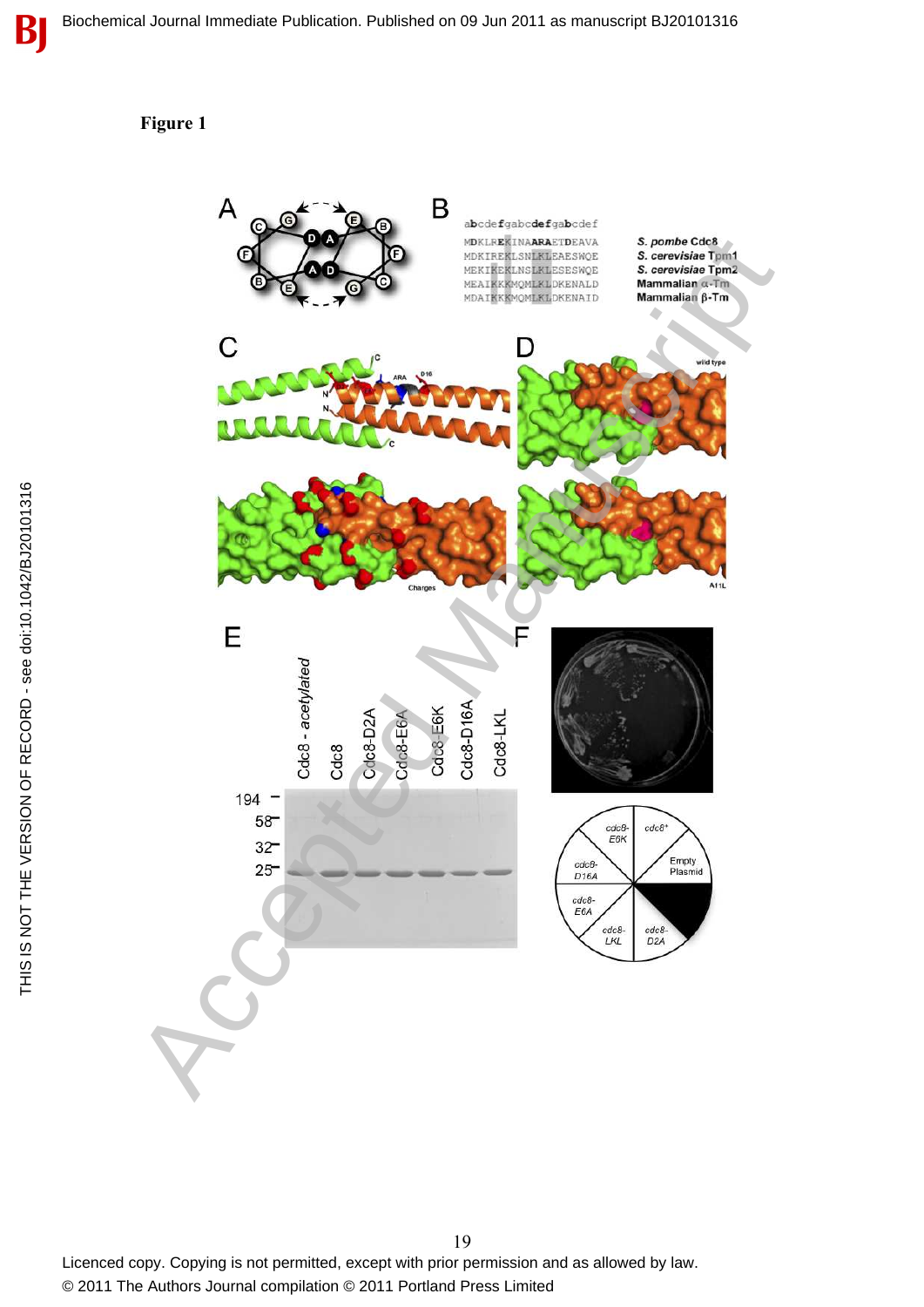#### **Figure 1**



19 Licenced copy. Copying is not permitted, except with prior permission and as allowed by law. © 2011 The Authors Journal compilation © 2011 Portland Press Limited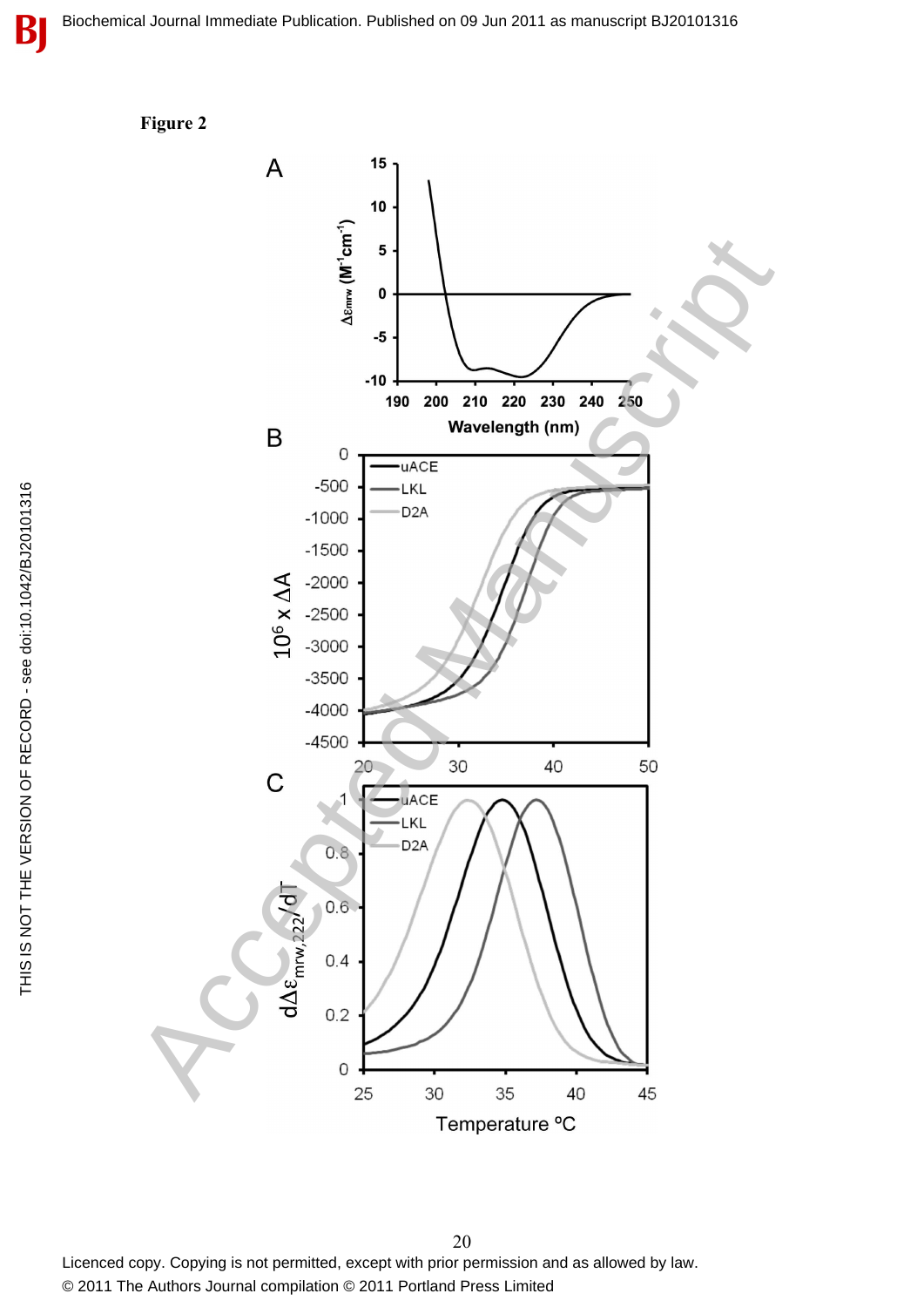**Figure 2**



20 Licenced copy. Copying is not permitted, except with prior permission and as allowed by law. © 2011 The Authors Journal compilation © 2011 Portland Press Limited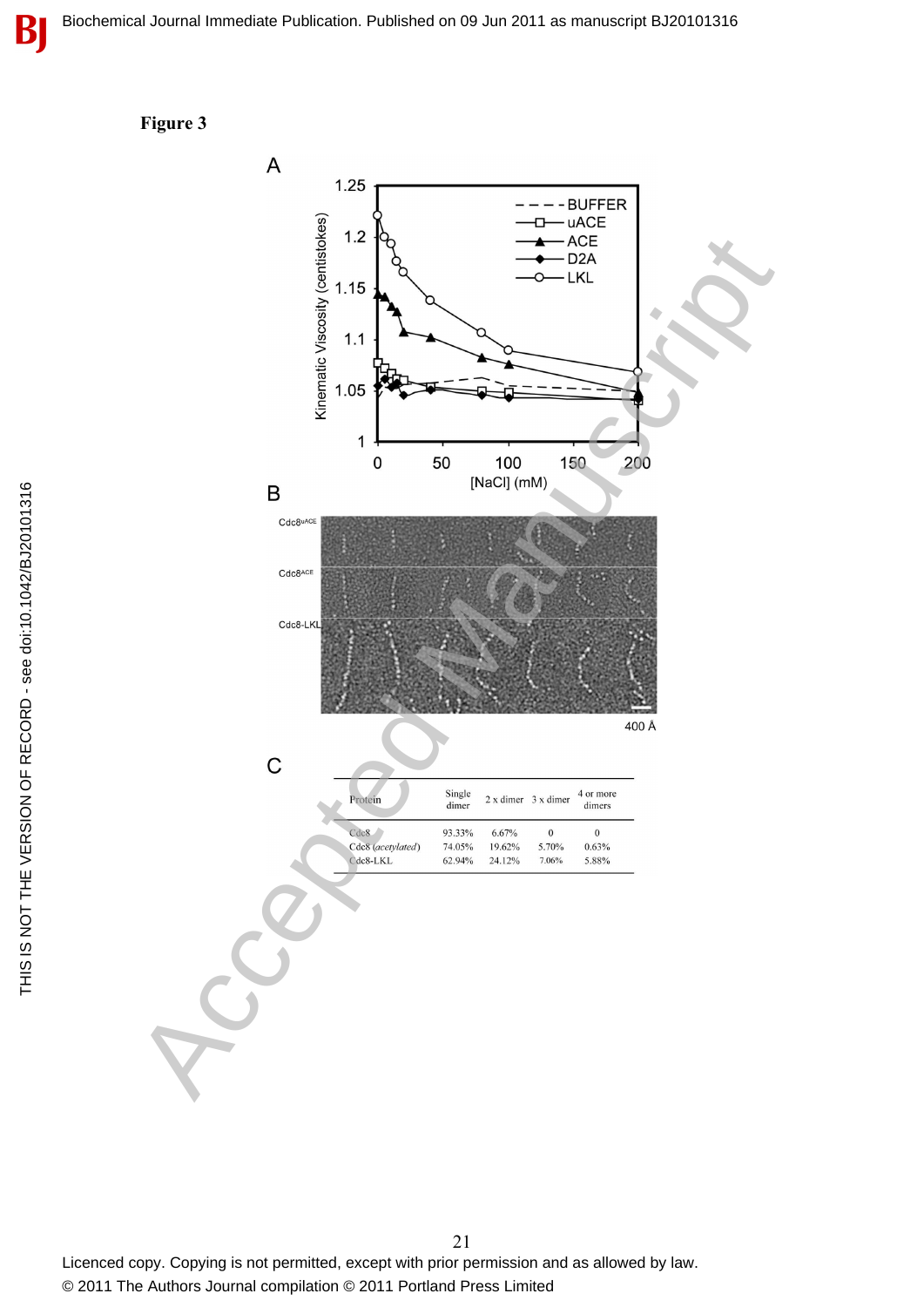



21 Licenced copy. Copying is not permitted, except with prior permission and as allowed by law. © 2011 The Authors Journal compilation © 2011 Portland Press Limited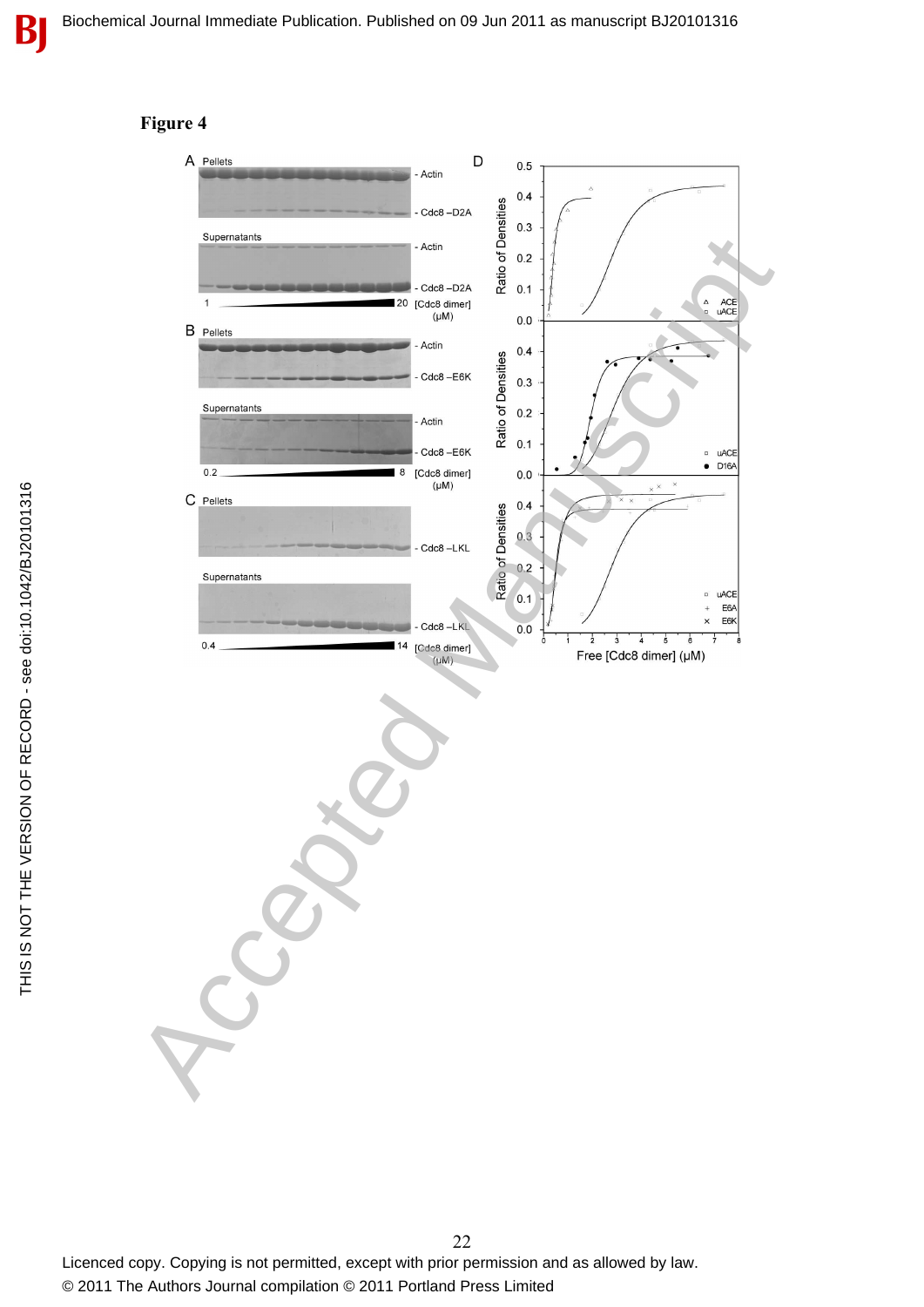

#### **Figure 4**